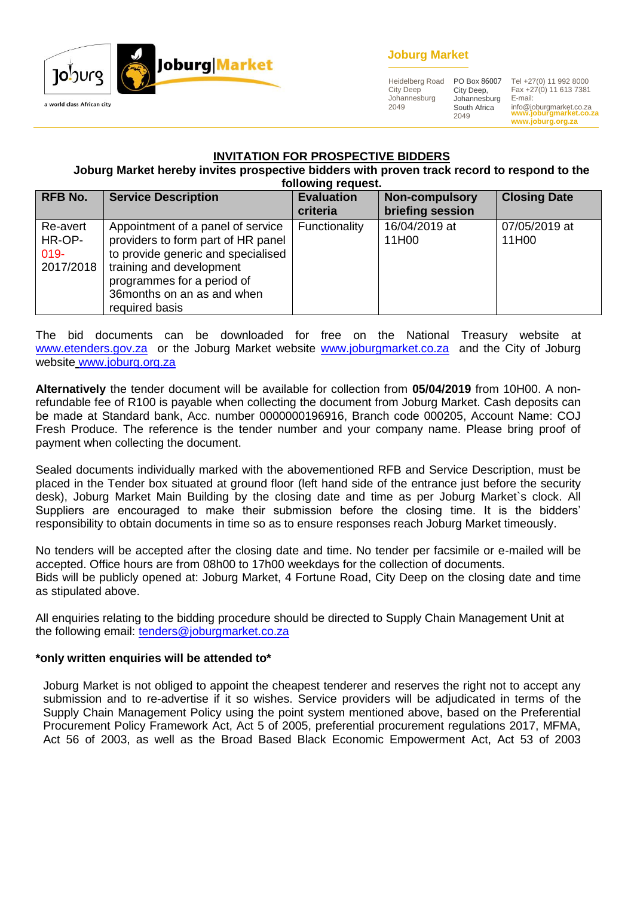

### **Joburg Market**

Heidelberg Road City Deep Johannesburg 2049

City Deep, Johannesburg South Africa 2049

**www.joburgmarket.co.za** info@joburgmarket.co.za **www.joburg.org.za** PO Box 86007 Tel +27(0) 11 992 8000 Fax +27(0) 11 613 7381 E-mail:

#### **INVITATION FOR PROSPECTIVE BIDDERS**

#### **Joburg Market hereby invites prospective bidders with proven track record to respond to the following request.**

|                                            | <b>INININING IPHACAL</b>                                                                                                                                                                                                 |                               |                                           |                        |  |  |
|--------------------------------------------|--------------------------------------------------------------------------------------------------------------------------------------------------------------------------------------------------------------------------|-------------------------------|-------------------------------------------|------------------------|--|--|
| <b>RFB No.</b>                             | <b>Service Description</b>                                                                                                                                                                                               | <b>Evaluation</b><br>criteria | <b>Non-compulsory</b><br>briefing session | <b>Closing Date</b>    |  |  |
| Re-avert<br>HR-OP-<br>$019 -$<br>2017/2018 | Appointment of a panel of service<br>providers to form part of HR panel<br>to provide generic and specialised<br>training and development<br>programmes for a period of<br>36 months on an as and when<br>required basis | Functionality                 | 16/04/2019 at<br>11H00                    | 07/05/2019 at<br>11H00 |  |  |

The bid documents can be downloaded for free on the National Treasury website at [www.etenders.gov.za](http://www.etenders.gov.za/) or the Joburg Market website [www.joburgmarket.co.za](http://www.joburgmarket.co.za/) and the City of Joburg website [www.joburg.org.za](http://www.joburg.org.za/)

**Alternatively** the tender document will be available for collection from **05/04/2019** from 10H00. A nonrefundable fee of R100 is payable when collecting the document from Joburg Market. Cash deposits can be made at Standard bank, Acc. number 0000000196916, Branch code 000205, Account Name: COJ Fresh Produce. The reference is the tender number and your company name. Please bring proof of payment when collecting the document.

Sealed documents individually marked with the abovementioned RFB and Service Description, must be placed in the Tender box situated at ground floor (left hand side of the entrance just before the security desk), Joburg Market Main Building by the closing date and time as per Joburg Market`s clock. All Suppliers are encouraged to make their submission before the closing time. It is the bidders' responsibility to obtain documents in time so as to ensure responses reach Joburg Market timeously.

No tenders will be accepted after the closing date and time. No tender per facsimile or e-mailed will be accepted. Office hours are from 08h00 to 17h00 weekdays for the collection of documents. Bids will be publicly opened at: Joburg Market, 4 Fortune Road, City Deep on the closing date and time as stipulated above.

All enquiries relating to the bidding procedure should be directed to Supply Chain Management Unit at the following email: [tenders@joburgmarket.co.za](mailto:tenders@joburgmarket.co.za)

#### **\*only written enquiries will be attended to\***

Joburg Market is not obliged to appoint the cheapest tenderer and reserves the right not to accept any submission and to re-advertise if it so wishes. Service providers will be adjudicated in terms of the Supply Chain Management Policy using the point system mentioned above, based on the Preferential Procurement Policy Framework Act, Act 5 of 2005, preferential procurement regulations 2017, MFMA, Act 56 of 2003, as well as the Broad Based Black Economic Empowerment Act, Act 53 of 2003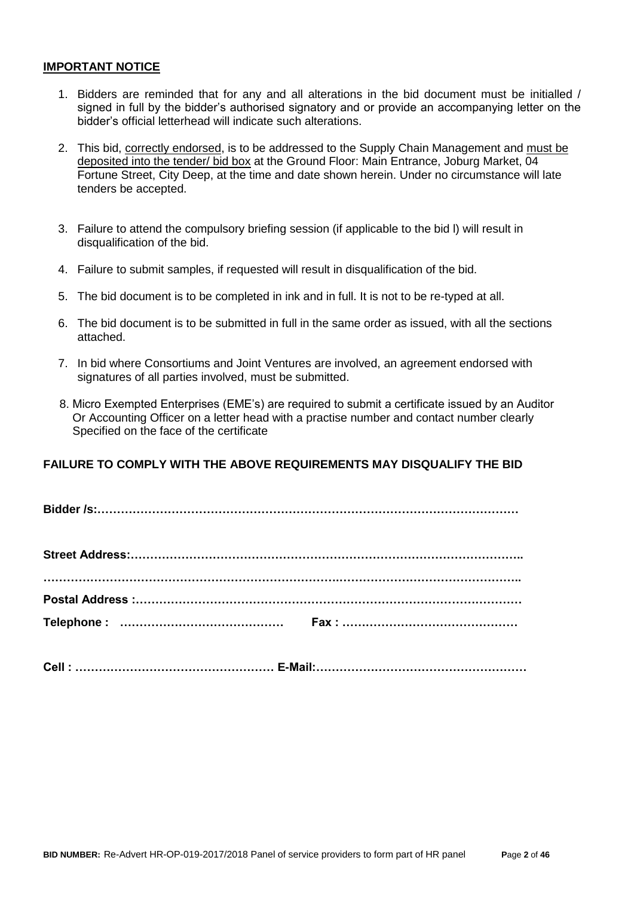#### **IMPORTANT NOTICE**

- 1. Bidders are reminded that for any and all alterations in the bid document must be initialled / signed in full by the bidder's authorised signatory and or provide an accompanying letter on the bidder's official letterhead will indicate such alterations.
- 2. This bid, correctly endorsed, is to be addressed to the Supply Chain Management and must be deposited into the tender/ bid box at the Ground Floor: Main Entrance, Joburg Market, 04 Fortune Street, City Deep, at the time and date shown herein. Under no circumstance will late tenders be accepted.
- 3. Failure to attend the compulsory briefing session (if applicable to the bid l) will result in disqualification of the bid.
- 4. Failure to submit samples, if requested will result in disqualification of the bid.
- 5. The bid document is to be completed in ink and in full. It is not to be re-typed at all.
- 6. The bid document is to be submitted in full in the same order as issued, with all the sections attached.
- 7. In bid where Consortiums and Joint Ventures are involved, an agreement endorsed with signatures of all parties involved, must be submitted.
- 8. Micro Exempted Enterprises (EME's) are required to submit a certificate issued by an Auditor Or Accounting Officer on a letter head with a practise number and contact number clearly Specified on the face of the certificate

### **FAILURE TO COMPLY WITH THE ABOVE REQUIREMENTS MAY DISQUALIFY THE BID**

**Bidder /s:………………………………………………………………………………………………**

| Cell:………………………………………………… E-Mail:………………………………………………… |  |
|-----------------------------------------------------|--|
|                                                     |  |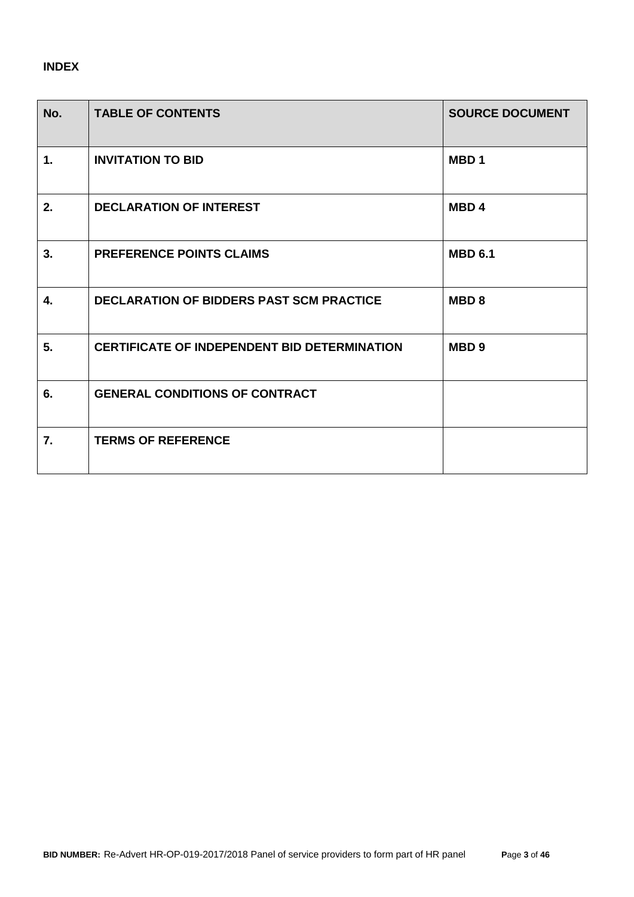## **INDEX**

| No.            | <b>TABLE OF CONTENTS</b>                            | <b>SOURCE DOCUMENT</b> |
|----------------|-----------------------------------------------------|------------------------|
| $\mathbf{1}$ . | <b>INVITATION TO BID</b>                            | MBD <sub>1</sub>       |
| 2.             | <b>DECLARATION OF INTEREST</b>                      | MBD <sub>4</sub>       |
| 3.             | <b>PREFERENCE POINTS CLAIMS</b>                     | <b>MBD 6.1</b>         |
| 4.             | <b>DECLARATION OF BIDDERS PAST SCM PRACTICE</b>     | MBD <sub>8</sub>       |
| 5.             | <b>CERTIFICATE OF INDEPENDENT BID DETERMINATION</b> | MBD <sub>9</sub>       |
| 6.             | <b>GENERAL CONDITIONS OF CONTRACT</b>               |                        |
| 7.             | <b>TERMS OF REFERENCE</b>                           |                        |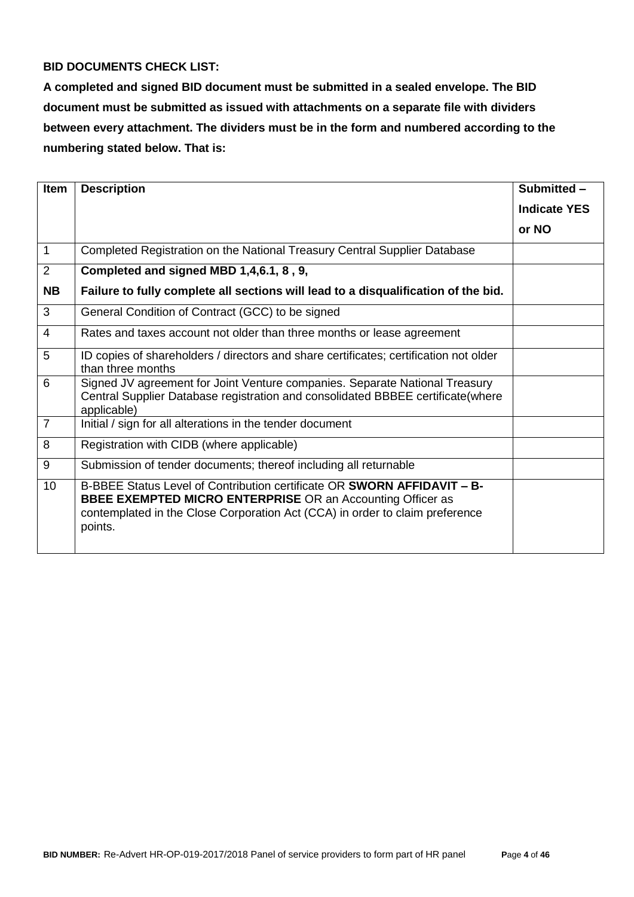### **BID DOCUMENTS CHECK LIST:**

**A completed and signed BID document must be submitted in a sealed envelope. The BID document must be submitted as issued with attachments on a separate file with dividers between every attachment. The dividers must be in the form and numbered according to the numbering stated below. That is:**

| <b>Item</b>     | <b>Description</b>                                                                                                                                                                                                                             | Submitted -         |
|-----------------|------------------------------------------------------------------------------------------------------------------------------------------------------------------------------------------------------------------------------------------------|---------------------|
|                 |                                                                                                                                                                                                                                                | <b>Indicate YES</b> |
|                 |                                                                                                                                                                                                                                                | or NO               |
| $\mathbf{1}$    | Completed Registration on the National Treasury Central Supplier Database                                                                                                                                                                      |                     |
| $\overline{2}$  | Completed and signed MBD 1,4,6.1, 8, 9,                                                                                                                                                                                                        |                     |
| <b>NB</b>       | Failure to fully complete all sections will lead to a disqualification of the bid.                                                                                                                                                             |                     |
| 3               | General Condition of Contract (GCC) to be signed                                                                                                                                                                                               |                     |
| 4               | Rates and taxes account not older than three months or lease agreement                                                                                                                                                                         |                     |
| 5               | ID copies of shareholders / directors and share certificates; certification not older<br>than three months                                                                                                                                     |                     |
| 6               | Signed JV agreement for Joint Venture companies. Separate National Treasury<br>Central Supplier Database registration and consolidated BBBEE certificate(where<br>applicable)                                                                  |                     |
| $\overline{7}$  | Initial / sign for all alterations in the tender document                                                                                                                                                                                      |                     |
| 8               | Registration with CIDB (where applicable)                                                                                                                                                                                                      |                     |
| 9               | Submission of tender documents; thereof including all returnable                                                                                                                                                                               |                     |
| 10 <sup>1</sup> | B-BBEE Status Level of Contribution certificate OR <b>SWORN AFFIDAVIT - B-</b><br><b>BBEE EXEMPTED MICRO ENTERPRISE OR an Accounting Officer as</b><br>contemplated in the Close Corporation Act (CCA) in order to claim preference<br>points. |                     |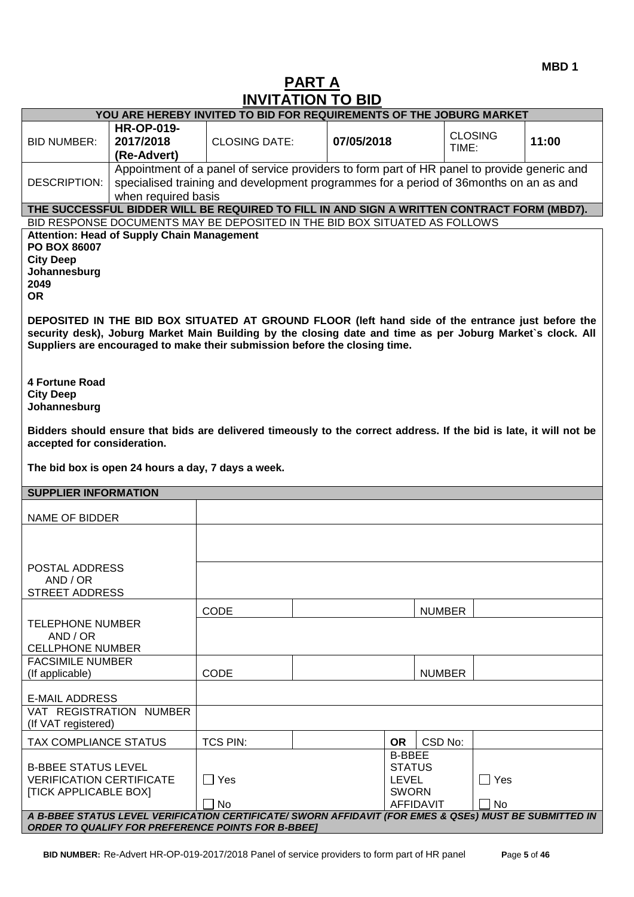# **PART A INVITATION TO BID**

| YOU ARE HEREBY INVITED TO BID FOR REQUIREMENTS OF THE JOBURG MARKET                                                                                                                                     |                                                   |                                                                                                                                                                                                                                                                                               |            |                                  |                |       |
|---------------------------------------------------------------------------------------------------------------------------------------------------------------------------------------------------------|---------------------------------------------------|-----------------------------------------------------------------------------------------------------------------------------------------------------------------------------------------------------------------------------------------------------------------------------------------------|------------|----------------------------------|----------------|-------|
|                                                                                                                                                                                                         | <b>HR-OP-019-</b>                                 |                                                                                                                                                                                                                                                                                               |            |                                  |                |       |
| <b>BID NUMBER:</b>                                                                                                                                                                                      | 2017/2018                                         | <b>CLOSING DATE:</b>                                                                                                                                                                                                                                                                          | 07/05/2018 |                                  | <b>CLOSING</b> | 11:00 |
|                                                                                                                                                                                                         | (Re-Advert)                                       |                                                                                                                                                                                                                                                                                               |            |                                  | TIME:          |       |
|                                                                                                                                                                                                         |                                                   | Appointment of a panel of service providers to form part of HR panel to provide generic and                                                                                                                                                                                                   |            |                                  |                |       |
| <b>DESCRIPTION:</b>                                                                                                                                                                                     |                                                   | specialised training and development programmes for a period of 36months on an as and                                                                                                                                                                                                         |            |                                  |                |       |
|                                                                                                                                                                                                         | when required basis                               |                                                                                                                                                                                                                                                                                               |            |                                  |                |       |
|                                                                                                                                                                                                         |                                                   | THE SUCCESSFUL BIDDER WILL BE REQUIRED TO FILL IN AND SIGN A WRITTEN CONTRACT FORM (MBD7).                                                                                                                                                                                                    |            |                                  |                |       |
|                                                                                                                                                                                                         |                                                   | BID RESPONSE DOCUMENTS MAY BE DEPOSITED IN THE BID BOX SITUATED AS FOLLOWS                                                                                                                                                                                                                    |            |                                  |                |       |
| PO BOX 86007<br><b>City Deep</b><br>Johannesburg<br>2049                                                                                                                                                | <b>Attention: Head of Supply Chain Management</b> |                                                                                                                                                                                                                                                                                               |            |                                  |                |       |
| <b>OR</b>                                                                                                                                                                                               |                                                   |                                                                                                                                                                                                                                                                                               |            |                                  |                |       |
|                                                                                                                                                                                                         |                                                   | DEPOSITED IN THE BID BOX SITUATED AT GROUND FLOOR (left hand side of the entrance just before the<br>security desk), Joburg Market Main Building by the closing date and time as per Joburg Market's clock. All<br>Suppliers are encouraged to make their submission before the closing time. |            |                                  |                |       |
| <b>4 Fortune Road</b><br><b>City Deep</b><br>Johannesburg                                                                                                                                               |                                                   |                                                                                                                                                                                                                                                                                               |            |                                  |                |       |
| Bidders should ensure that bids are delivered timeously to the correct address. If the bid is late, it will not be<br>accepted for consideration.<br>The bid box is open 24 hours a day, 7 days a week. |                                                   |                                                                                                                                                                                                                                                                                               |            |                                  |                |       |
|                                                                                                                                                                                                         |                                                   |                                                                                                                                                                                                                                                                                               |            |                                  |                |       |
| <b>SUPPLIER INFORMATION</b>                                                                                                                                                                             |                                                   |                                                                                                                                                                                                                                                                                               |            |                                  |                |       |
| <b>NAME OF BIDDER</b>                                                                                                                                                                                   |                                                   |                                                                                                                                                                                                                                                                                               |            |                                  |                |       |
|                                                                                                                                                                                                         |                                                   |                                                                                                                                                                                                                                                                                               |            |                                  |                |       |
| POSTAL ADDRESS                                                                                                                                                                                          |                                                   |                                                                                                                                                                                                                                                                                               |            |                                  |                |       |
| AND / OR                                                                                                                                                                                                |                                                   |                                                                                                                                                                                                                                                                                               |            |                                  |                |       |
| <b>STREET ADDRESS</b>                                                                                                                                                                                   |                                                   |                                                                                                                                                                                                                                                                                               |            |                                  |                |       |
|                                                                                                                                                                                                         |                                                   | CODE                                                                                                                                                                                                                                                                                          |            | <b>NUMBER</b>                    |                |       |
| <b>TELEPHONE NUMBER</b><br>AND / OR<br><b>CELLPHONE NUMBER</b>                                                                                                                                          |                                                   |                                                                                                                                                                                                                                                                                               |            |                                  |                |       |
| <b>FACSIMILE NUMBER</b>                                                                                                                                                                                 |                                                   |                                                                                                                                                                                                                                                                                               |            |                                  |                |       |
| (If applicable)                                                                                                                                                                                         |                                                   | CODE                                                                                                                                                                                                                                                                                          |            | <b>NUMBER</b>                    |                |       |
| <b>E-MAIL ADDRESS</b>                                                                                                                                                                                   |                                                   |                                                                                                                                                                                                                                                                                               |            |                                  |                |       |
| (If VAT registered)                                                                                                                                                                                     | VAT REGISTRATION NUMBER                           |                                                                                                                                                                                                                                                                                               |            |                                  |                |       |
| TAX COMPLIANCE STATUS                                                                                                                                                                                   |                                                   | <b>TCS PIN:</b>                                                                                                                                                                                                                                                                               |            | CSD No:<br><b>OR</b>             |                |       |
|                                                                                                                                                                                                         |                                                   |                                                                                                                                                                                                                                                                                               |            | <b>B-BBEE</b>                    |                |       |
| <b>B-BBEE STATUS LEVEL</b>                                                                                                                                                                              |                                                   |                                                                                                                                                                                                                                                                                               |            | <b>STATUS</b>                    |                |       |
| <b>VERIFICATION CERTIFICATE</b>                                                                                                                                                                         |                                                   | $\Box$ Yes                                                                                                                                                                                                                                                                                    |            | <b>LEVEL</b>                     | $\Box$ Yes     |       |
| <b>[TICK APPLICABLE BOX]</b>                                                                                                                                                                            |                                                   | No                                                                                                                                                                                                                                                                                            |            | <b>SWORN</b><br><b>AFFIDAVIT</b> | No             |       |
|                                                                                                                                                                                                         |                                                   |                                                                                                                                                                                                                                                                                               |            |                                  |                |       |
| A B-BBEE STATUS LEVEL VERIFICATION CERTIFICATE/ SWORN AFFIDAVIT (FOR EMES & QSEs) MUST BE SUBMITTED IN<br><b>ORDER TO QUALIFY FOR PREFERENCE POINTS FOR B-BBEET</b>                                     |                                                   |                                                                                                                                                                                                                                                                                               |            |                                  |                |       |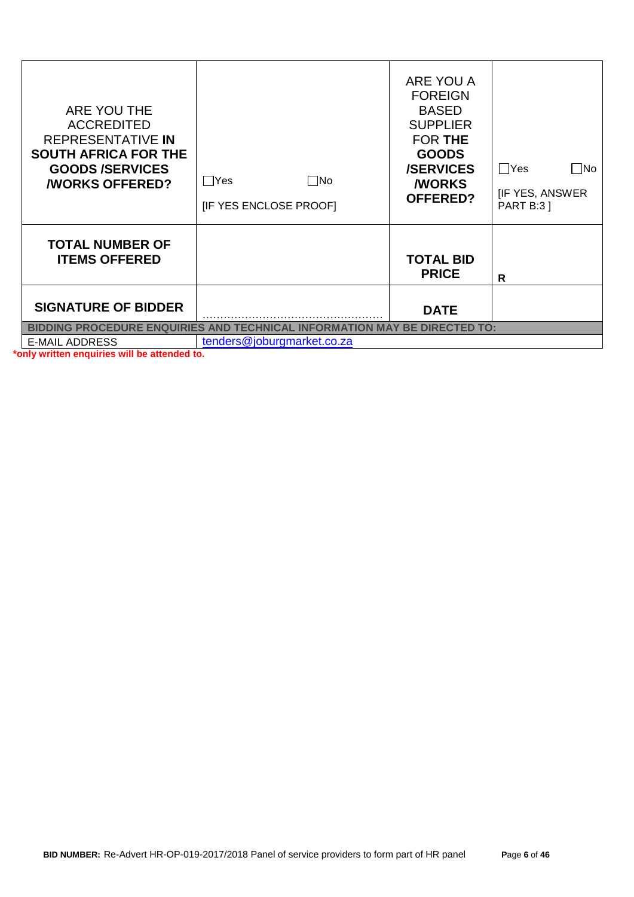| ARE YOU THE<br><b>ACCREDITED</b><br>REPRESENTATIVE IN<br><b>SOUTH AFRICA FOR THE</b><br><b>GOODS/SERVICES</b><br><b><i>NORKS OFFERED?</i></b> | Yes<br>   No<br>[IF YES ENCLOSE PROOF]                                                                  | ARE YOU A<br><b>FOREIGN</b><br><b>BASED</b><br><b>SUPPLIER</b><br>FOR THE<br><b>GOODS</b><br><b>/SERVICES</b><br><b><i>NORKS</i></b><br><b>OFFERED?</b> | $\Box$ Yes<br>$\Box$ No<br><b>IF YES, ANSWER</b><br><b>PART B:3 ]</b> |
|-----------------------------------------------------------------------------------------------------------------------------------------------|---------------------------------------------------------------------------------------------------------|---------------------------------------------------------------------------------------------------------------------------------------------------------|-----------------------------------------------------------------------|
| <b>TOTAL NUMBER OF</b><br><b>ITEMS OFFERED</b>                                                                                                |                                                                                                         | <b>TOTAL BID</b><br><b>PRICE</b>                                                                                                                        | R                                                                     |
| <b>SIGNATURE OF BIDDER</b>                                                                                                                    |                                                                                                         | <b>DATE</b>                                                                                                                                             |                                                                       |
| <b>E-MAIL ADDRESS</b>                                                                                                                         | BIDDING PROCEDURE ENQUIRIES AND TECHNICAL INFORMATION MAY BE DIRECTED TO:<br>tenders@joburgmarket.co.za |                                                                                                                                                         |                                                                       |
|                                                                                                                                               |                                                                                                         |                                                                                                                                                         |                                                                       |

**\*only written enquiries will be attended to.**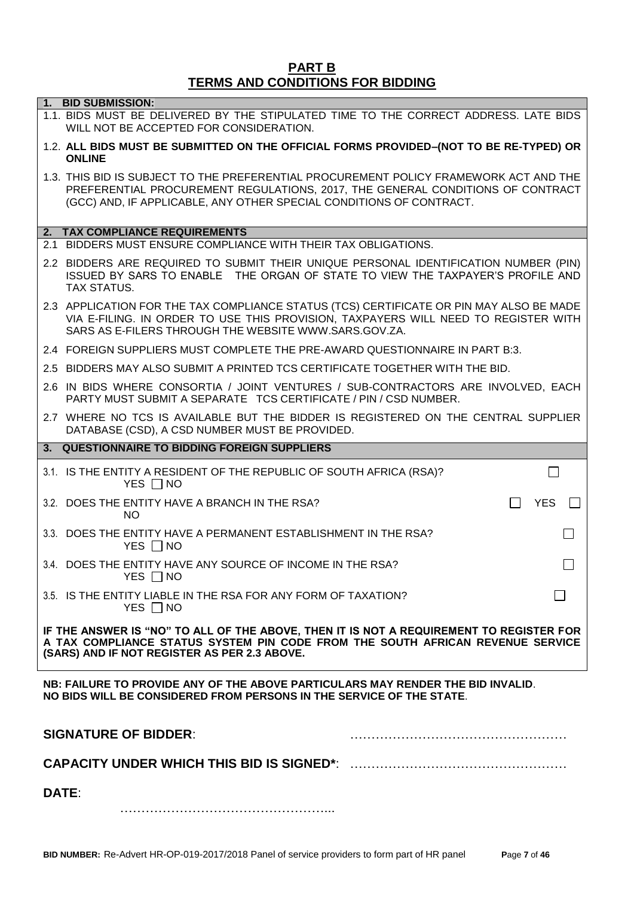#### **PART B TERMS AND CONDITIONS FOR BIDDING**

| 1. BID SUBMISSION:                                                                                                                                                                                                                             |
|------------------------------------------------------------------------------------------------------------------------------------------------------------------------------------------------------------------------------------------------|
| 1.1. BIDS MUST BE DELIVERED BY THE STIPULATED TIME TO THE CORRECT ADDRESS. LATE BIDS<br>WILL NOT BE ACCEPTED FOR CONSIDERATION.                                                                                                                |
| 1.2. ALL BIDS MUST BE SUBMITTED ON THE OFFICIAL FORMS PROVIDED-(NOT TO BE RE-TYPED) OR<br><b>ONLINE</b>                                                                                                                                        |
| 1.3. THIS BID IS SUBJECT TO THE PREFERENTIAL PROCUREMENT POLICY FRAMEWORK ACT AND THE<br>PREFERENTIAL PROCUREMENT REGULATIONS, 2017, THE GENERAL CONDITIONS OF CONTRACT<br>(GCC) AND, IF APPLICABLE, ANY OTHER SPECIAL CONDITIONS OF CONTRACT. |
| 2. TAX COMPLIANCE REQUIREMENTS                                                                                                                                                                                                                 |
| 2.1 BIDDERS MUST ENSURE COMPLIANCE WITH THEIR TAX OBLIGATIONS.                                                                                                                                                                                 |
| 2.2 BIDDERS ARE REQUIRED TO SUBMIT THEIR UNIQUE PERSONAL IDENTIFICATION NUMBER (PIN)<br>ISSUED BY SARS TO ENABLE THE ORGAN OF STATE TO VIEW THE TAXPAYER'S PROFILE AND<br><b>TAX STATUS.</b>                                                   |
| 2.3 APPLICATION FOR THE TAX COMPLIANCE STATUS (TCS) CERTIFICATE OR PIN MAY ALSO BE MADE<br>VIA E-FILING. IN ORDER TO USE THIS PROVISION, TAXPAYERS WILL NEED TO REGISTER WITH<br>SARS AS E-FILERS THROUGH THE WEBSITE WWW.SARS.GOV.ZA.         |
| 2.4 FOREIGN SUPPLIERS MUST COMPLETE THE PRE-AWARD QUESTIONNAIRE IN PART B:3.                                                                                                                                                                   |
| 2.5 BIDDERS MAY ALSO SUBMIT A PRINTED TCS CERTIFICATE TOGETHER WITH THE BID.                                                                                                                                                                   |
| 2.6 IN BIDS WHERE CONSORTIA / JOINT VENTURES / SUB-CONTRACTORS ARE INVOLVED, EACH<br>PARTY MUST SUBMIT A SEPARATE TCS CERTIFICATE / PIN / CSD NUMBER.                                                                                          |
| 2.7 WHERE NO TCS IS AVAILABLE BUT THE BIDDER IS REGISTERED ON THE CENTRAL SUPPLIER<br>DATABASE (CSD), A CSD NUMBER MUST BE PROVIDED.                                                                                                           |
| 3. QUESTIONNAIRE TO BIDDING FOREIGN SUPPLIERS                                                                                                                                                                                                  |
| 3.1. IS THE ENTITY A RESIDENT OF THE REPUBLIC OF SOUTH AFRICA (RSA)?<br>YES $\Box$ NO                                                                                                                                                          |
| <b>YES</b><br>3.2. DOES THE ENTITY HAVE A BRANCH IN THE RSA?<br>NO.                                                                                                                                                                            |
| 3.3. DOES THE ENTITY HAVE A PERMANENT ESTABLISHMENT IN THE RSA?<br>YES $\Box$ NO                                                                                                                                                               |
| 3.4. DOES THE ENTITY HAVE ANY SOURCE OF INCOME IN THE RSA?<br>YES $\Box$ NO                                                                                                                                                                    |
| 3.5. IS THE ENTITY LIABLE IN THE RSA FOR ANY FORM OF TAXATION?<br>YES $\Box$ NO                                                                                                                                                                |
| IF THE ANSWER IS "NO" TO ALL OF THE ABOVE, THEN IT IS NOT A REQUIREMENT TO REGISTER FOR<br>A TAX COMPLIANCE STATUS SYSTEM PIN CODE FROM THE SOUTH AFRICAN REVENUE SERVICE<br>(SARS) AND IF NOT REGISTER AS PER 2.3 ABOVE.                      |
| NB: FAILURE TO PROVIDE ANY OF THE ABOVE PARTICULARS MAY RENDER THE BID INVALID.<br>NO BIDS WILL BE CONSIDERED FROM PERSONS IN THE SERVICE OF THE STATE.                                                                                        |
| <b>SIGNATURE OF BIDDER:</b>                                                                                                                                                                                                                    |
|                                                                                                                                                                                                                                                |
| <b>DATE:</b>                                                                                                                                                                                                                                   |
|                                                                                                                                                                                                                                                |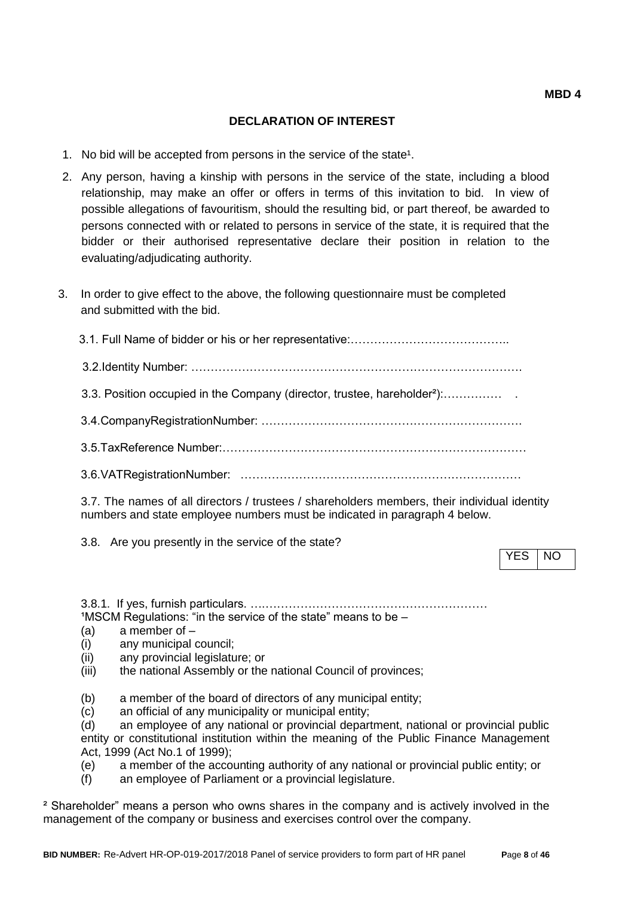#### **DECLARATION OF INTEREST**

- 1. No bid will be accepted from persons in the service of the state<sup>1</sup>.
- 2. Any person, having a kinship with persons in the service of the state, including a blood relationship, may make an offer or offers in terms of this invitation to bid. In view of possible allegations of favouritism, should the resulting bid, or part thereof, be awarded to persons connected with or related to persons in service of the state, it is required that the bidder or their authorised representative declare their position in relation to the evaluating/adjudicating authority.
- 3. In order to give effect to the above, the following questionnaire must be completed and submitted with the bid.

 3.1. Full Name of bidder or his or her representative:………………………………….. 3.2.Identity Number: …………………………………………………………………………. 3.3. Position occupied in the Company (director, trustee, hareholder²):…………… . 3.4.CompanyRegistrationNumber: …………………………………………………………. 3.5.TaxReference Number:…………………………………………………………………… 3.6.VATRegistrationNumber: ………………………………………………………………

3.7. The names of all directors / trustees / shareholders members, their individual identity numbers and state employee numbers must be indicated in paragraph 4 below.

3.8. Are you presently in the service of the state?

YES INO

3.8.1. If yes, furnish particulars. ….…………………………………………………  $1$ MSCM Regulations: "in the service of the state" means to be  $-$ 

- (a) a member of –
- (i) any municipal council;
- (ii) any provincial legislature; or
- (iii) the national Assembly or the national Council of provinces;
- (b) a member of the board of directors of any municipal entity;
- (c) an official of any municipality or municipal entity;
- (d) an employee of any national or provincial department, national or provincial public entity or constitutional institution within the meaning of the Public Finance Management Act, 1999 (Act No.1 of 1999);
- (e) a member of the accounting authority of any national or provincial public entity; or
- (f) an employee of Parliament or a provincial legislature.

² Shareholder" means a person who owns shares in the company and is actively involved in the management of the company or business and exercises control over the company.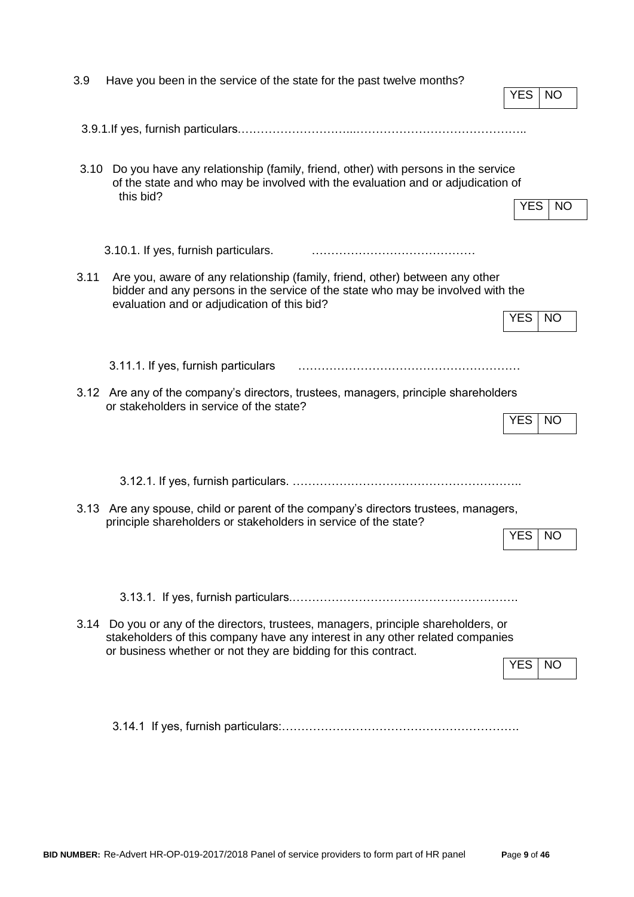| 3.9  | Have you been in the service of the state for the past twelve months?                                                                                                                                          |            |           |
|------|----------------------------------------------------------------------------------------------------------------------------------------------------------------------------------------------------------------|------------|-----------|
|      |                                                                                                                                                                                                                | <b>YES</b> | NO        |
|      |                                                                                                                                                                                                                |            |           |
| 3.10 | Do you have any relationship (family, friend, other) with persons in the service<br>of the state and who may be involved with the evaluation and or adjudication of<br>this bid?                               |            |           |
|      |                                                                                                                                                                                                                | <b>YES</b> | <b>NO</b> |
|      | 3.10.1. If yes, furnish particulars.                                                                                                                                                                           |            |           |
| 3.11 | Are you, aware of any relationship (family, friend, other) between any other<br>bidder and any persons in the service of the state who may be involved with the<br>evaluation and or adjudication of this bid? |            |           |
|      |                                                                                                                                                                                                                | <b>YES</b> | <b>NO</b> |
|      |                                                                                                                                                                                                                |            |           |
|      | 3.11.1. If yes, furnish particulars                                                                                                                                                                            |            |           |
|      | 3.12 Are any of the company's directors, trustees, managers, principle shareholders<br>or stakeholders in service of the state?                                                                                |            |           |
|      |                                                                                                                                                                                                                | <b>YES</b> | <b>NO</b> |
|      |                                                                                                                                                                                                                |            |           |
|      |                                                                                                                                                                                                                |            |           |
|      | 3.13 Are any spouse, child or parent of the company's directors trustees, managers,<br>principle shareholders or stakeholders in service of the state?                                                         |            |           |
|      |                                                                                                                                                                                                                | YES        | <b>NO</b> |
|      |                                                                                                                                                                                                                |            |           |
|      |                                                                                                                                                                                                                |            |           |
|      | 3.14 Do you or any of the directors, trustees, managers, principle shareholders, or<br>stakeholders of this company have any interest in any other related companies                                           |            |           |
|      | or business whether or not they are bidding for this contract.                                                                                                                                                 | YES        | <b>NO</b> |
|      |                                                                                                                                                                                                                |            |           |
|      |                                                                                                                                                                                                                |            |           |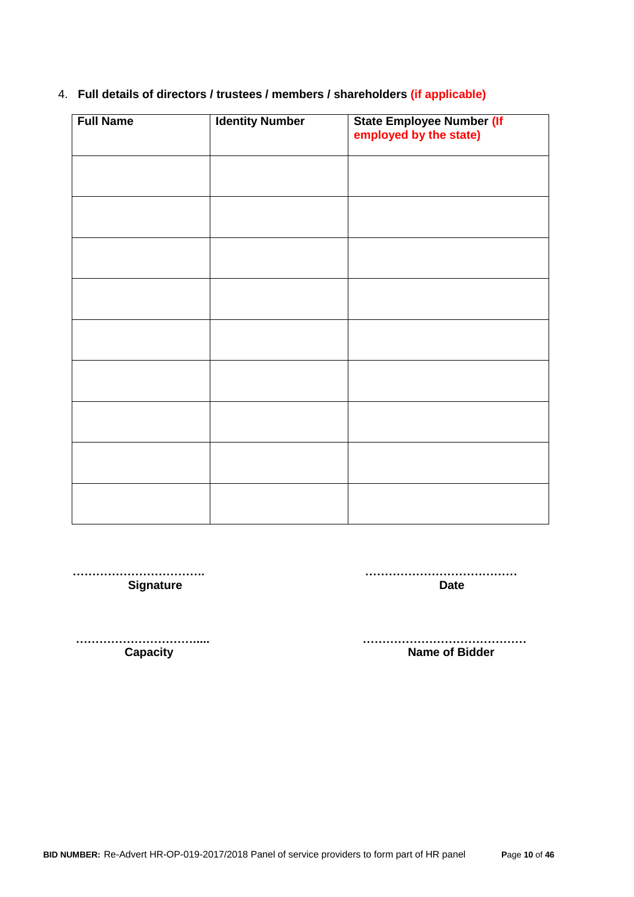| <b>Full Name</b> | <b>Identity Number</b> | <b>State Employee Number (If</b><br>employed by the state) |
|------------------|------------------------|------------------------------------------------------------|
|                  |                        |                                                            |
|                  |                        |                                                            |
|                  |                        |                                                            |
|                  |                        |                                                            |
|                  |                        |                                                            |
|                  |                        |                                                            |
|                  |                        |                                                            |
|                  |                        |                                                            |
|                  |                        |                                                            |

#### 4. **Full details of directors / trustees / members / shareholders (if applicable)**

 **……………………………. …………………………………** Signature **Date Date Date** 

 **…………………………..... ……………………………………**

**Capacity Capacity Capacity Capacity Name of Bidder**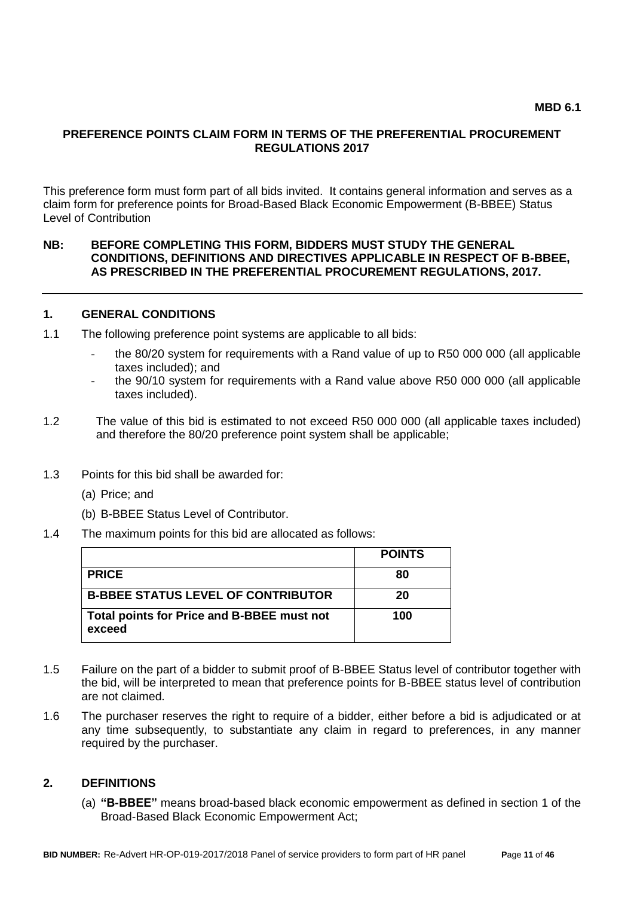#### **PREFERENCE POINTS CLAIM FORM IN TERMS OF THE PREFERENTIAL PROCUREMENT REGULATIONS 2017**

This preference form must form part of all bids invited. It contains general information and serves as a claim form for preference points for Broad-Based Black Economic Empowerment (B-BBEE) Status Level of Contribution

#### **NB: BEFORE COMPLETING THIS FORM, BIDDERS MUST STUDY THE GENERAL CONDITIONS, DEFINITIONS AND DIRECTIVES APPLICABLE IN RESPECT OF B-BBEE, AS PRESCRIBED IN THE PREFERENTIAL PROCUREMENT REGULATIONS, 2017.**

#### **1. GENERAL CONDITIONS**

- 1.1 The following preference point systems are applicable to all bids:
	- the 80/20 system for requirements with a Rand value of up to R50 000 000 (all applicable taxes included); and
	- the 90/10 system for requirements with a Rand value above R50 000 000 (all applicable taxes included).
- 1.2 The value of this bid is estimated to not exceed R50 000 000 (all applicable taxes included) and therefore the 80/20 preference point system shall be applicable;
- 1.3 Points for this bid shall be awarded for:
	- (a) Price; and
	- (b) B-BBEE Status Level of Contributor.
- 1.4 The maximum points for this bid are allocated as follows:

|                                                      | <b>POINTS</b> |
|------------------------------------------------------|---------------|
| <b>PRICE</b>                                         | 80            |
| <b>B-BBEE STATUS LEVEL OF CONTRIBUTOR</b>            | 20            |
| Total points for Price and B-BBEE must not<br>exceed | 100           |

- 1.5 Failure on the part of a bidder to submit proof of B-BBEE Status level of contributor together with the bid, will be interpreted to mean that preference points for B-BBEE status level of contribution are not claimed.
- 1.6 The purchaser reserves the right to require of a bidder, either before a bid is adjudicated or at any time subsequently, to substantiate any claim in regard to preferences, in any manner required by the purchaser.

#### **2. DEFINITIONS**

(a) **"B-BBEE"** means broad-based black economic empowerment as defined in section 1 of the Broad-Based Black Economic Empowerment Act;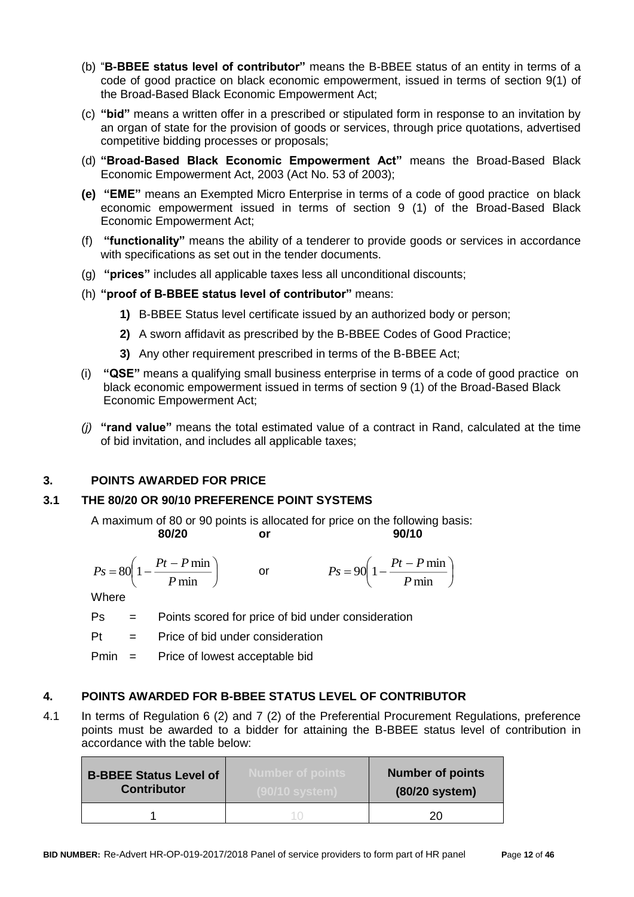- (b) "**B-BBEE status level of contributor"** means the B-BBEE status of an entity in terms of a code of good practice on black economic empowerment, issued in terms of section 9(1) of the Broad-Based Black Economic Empowerment Act;
- (c) **"bid"** means a written offer in a prescribed or stipulated form in response to an invitation by an organ of state for the provision of goods or services, through price quotations, advertised competitive bidding processes or proposals;
- (d) **"Broad-Based Black Economic Empowerment Act"** means the Broad-Based Black Economic Empowerment Act, 2003 (Act No. 53 of 2003);
- **(e) "EME"** means an Exempted Micro Enterprise in terms of a code of good practice on black economic empowerment issued in terms of section 9 (1) of the Broad-Based Black Economic Empowerment Act;
- (f) **"functionality"** means the ability of a tenderer to provide goods or services in accordance with specifications as set out in the tender documents.
- (g) **"prices"** includes all applicable taxes less all unconditional discounts;
- (h) **"proof of B-BBEE status level of contributor"** means:
	- **1)** B-BBEE Status level certificate issued by an authorized body or person;
	- **2)** A sworn affidavit as prescribed by the B-BBEE Codes of Good Practice;
	- **3)** Any other requirement prescribed in terms of the B-BBEE Act;
- (i) **"QSE"** means a qualifying small business enterprise in terms of a code of good practice on black economic empowerment issued in terms of section 9 (1) of the Broad-Based Black Economic Empowerment Act;
- *(j)* **"rand value"** means the total estimated value of a contract in Rand, calculated at the time of bid invitation, and includes all applicable taxes;

#### **3. POINTS AWARDED FOR PRICE**

#### **3.1 THE 80/20 OR 90/10 PREFERENCE POINT SYSTEMS**

A maximum of 80 or 90 points is allocated for price on the following basis: **80/20 or 90/10**

$$
\begin{array}{c}\n 0.00000 \\
0.00000\n \end{array}
$$

$$
Ps = 80\left(1 - \frac{Pt - P \min P}{ \min}\right) \qquad \text{or} \qquad \qquad Ps = 90\left(1 - \frac{Pt - P \min P}{ \min}\right)
$$

**Where** 

Ps = Points scored for price of bid under consideration

 $Pt =$  Price of bid under consideration

Pmin = Price of lowest acceptable bid

#### **4. POINTS AWARDED FOR B-BBEE STATUS LEVEL OF CONTRIBUTOR**

4.1 In terms of Regulation 6 (2) and 7 (2) of the Preferential Procurement Regulations, preference points must be awarded to a bidder for attaining the B-BBEE status level of contribution in accordance with the table below:

| <b>B-BBEE Status Level of</b><br><b>Contributor</b> | <b>Number of points</b> | <b>Number of points</b><br>(80/20 system) |
|-----------------------------------------------------|-------------------------|-------------------------------------------|
|                                                     |                         |                                           |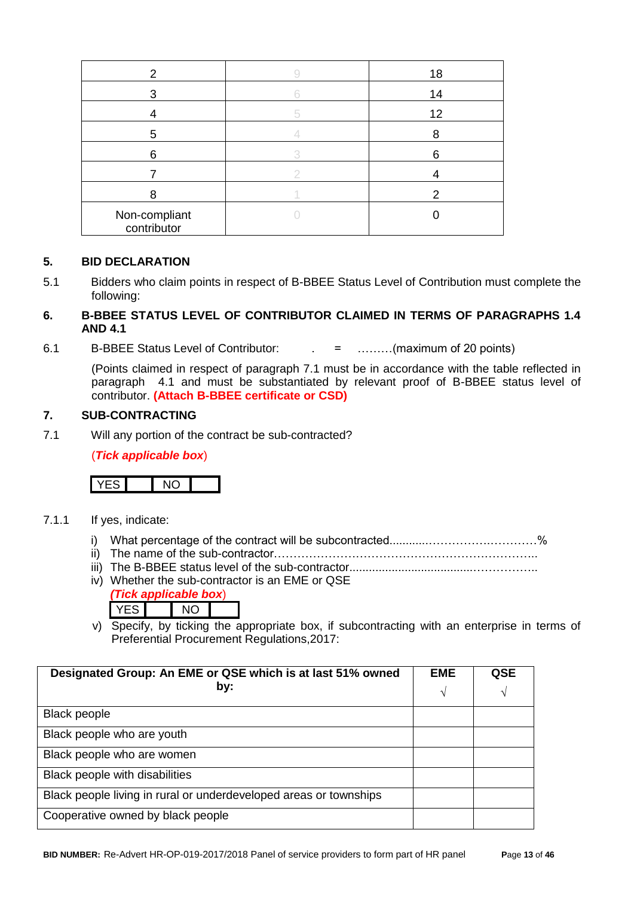| 2                            | 18 |
|------------------------------|----|
| 3                            | 14 |
|                              | 12 |
| 5                            |    |
| 6                            |    |
|                              |    |
|                              |    |
| Non-compliant<br>contributor |    |

#### **5. BID DECLARATION**

5.1 Bidders who claim points in respect of B-BBEE Status Level of Contribution must complete the following:

### **6. B-BBEE STATUS LEVEL OF CONTRIBUTOR CLAIMED IN TERMS OF PARAGRAPHS 1.4 AND 4.1**

6.1 B-BBEE Status Level of Contributor: . = ………(maximum of 20 points)

(Points claimed in respect of paragraph 7.1 must be in accordance with the table reflected in paragraph 4.1 and must be substantiated by relevant proof of B-BBEE status level of contributor. **(Attach B-BBEE certificate or CSD)**

#### **7. SUB-CONTRACTING**

7.1 Will any portion of the contract be sub-contracted?

(*Tick applicable box*)



- 7.1.1 If yes, indicate:
	- i) What percentage of the contract will be subcontracted............…………….…………%
	- ii) The name of the sub-contractor…………………………………………………………..
	- iii) The B-BBEE status level of the sub-contractor......................................……………..
	- iv) Whether the sub-contractor is an EME or QSE *(Tick applicable box*)
		- YES NO
	- v) Specify, by ticking the appropriate box, if subcontracting with an enterprise in terms of Preferential Procurement Regulations,2017:

| Designated Group: An EME or QSE which is at last 51% owned<br>by: | <b>EME</b><br>$\sqrt{ }$ | QSE<br>V |
|-------------------------------------------------------------------|--------------------------|----------|
| <b>Black people</b>                                               |                          |          |
| Black people who are youth                                        |                          |          |
| Black people who are women                                        |                          |          |
| Black people with disabilities                                    |                          |          |
| Black people living in rural or underdeveloped areas or townships |                          |          |
| Cooperative owned by black people                                 |                          |          |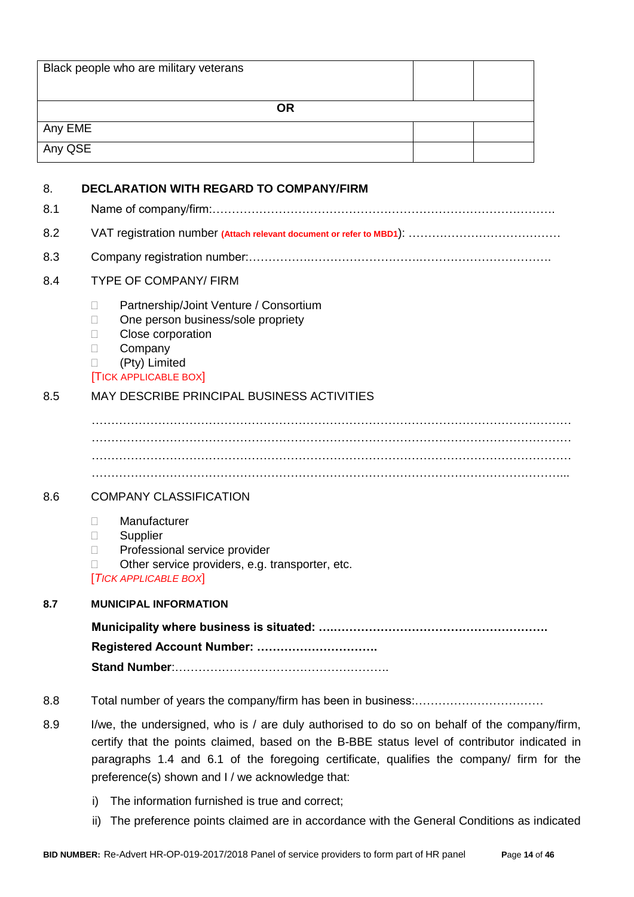|         | Black people who are military veterans                                                                                                                                                                                                                                                                                                      |
|---------|---------------------------------------------------------------------------------------------------------------------------------------------------------------------------------------------------------------------------------------------------------------------------------------------------------------------------------------------|
|         | <b>OR</b>                                                                                                                                                                                                                                                                                                                                   |
| Any EME |                                                                                                                                                                                                                                                                                                                                             |
| Any QSE |                                                                                                                                                                                                                                                                                                                                             |
|         |                                                                                                                                                                                                                                                                                                                                             |
| 8.      | <b>DECLARATION WITH REGARD TO COMPANY/FIRM</b>                                                                                                                                                                                                                                                                                              |
| 8.1     |                                                                                                                                                                                                                                                                                                                                             |
| 8.2     |                                                                                                                                                                                                                                                                                                                                             |
| 8.3     |                                                                                                                                                                                                                                                                                                                                             |
| 8.4     | <b>TYPE OF COMPANY/ FIRM</b>                                                                                                                                                                                                                                                                                                                |
|         | Partnership/Joint Venture / Consortium<br>Н<br>One person business/sole propriety<br>П<br>Close corporation<br>П<br>Company<br>$\mathbf{L}$<br>(Pty) Limited<br>П<br><b>TICK APPLICABLE BOX</b>                                                                                                                                             |
| 8.5     | MAY DESCRIBE PRINCIPAL BUSINESS ACTIVITIES                                                                                                                                                                                                                                                                                                  |
|         |                                                                                                                                                                                                                                                                                                                                             |
| 8.6     | <b>COMPANY CLASSIFICATION</b>                                                                                                                                                                                                                                                                                                               |
|         | Manufacturer<br>$\mathbf{L}$<br>□<br>Supplier<br>Professional service provider<br>П<br>Other service providers, e.g. transporter, etc.<br>П<br><b>TICK APPLICABLE BOXI</b>                                                                                                                                                                  |
| 8.7     | <b>MUNICIPAL INFORMATION</b>                                                                                                                                                                                                                                                                                                                |
|         | Registered Account Number:                                                                                                                                                                                                                                                                                                                  |
| 8.8     |                                                                                                                                                                                                                                                                                                                                             |
| 8.9     | I/we, the undersigned, who is / are duly authorised to do so on behalf of the company/firm,<br>certify that the points claimed, based on the B-BBE status level of contributor indicated in<br>paragraphs 1.4 and 6.1 of the foregoing certificate, qualifies the company/ firm for the<br>preference(s) shown and I / we acknowledge that: |
|         | The information furnished is true and correct;<br>i)                                                                                                                                                                                                                                                                                        |

ii) The preference points claimed are in accordance with the General Conditions as indicated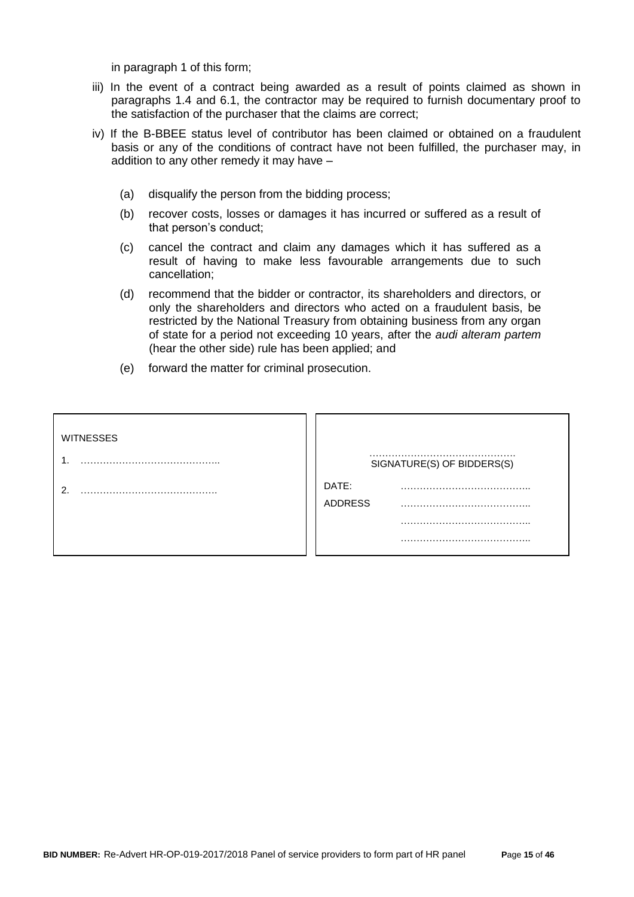in paragraph 1 of this form;

- iii) In the event of a contract being awarded as a result of points claimed as shown in paragraphs 1.4 and 6.1, the contractor may be required to furnish documentary proof to the satisfaction of the purchaser that the claims are correct;
- iv) If the B-BBEE status level of contributor has been claimed or obtained on a fraudulent basis or any of the conditions of contract have not been fulfilled, the purchaser may, in addition to any other remedy it may have –
	- (a) disqualify the person from the bidding process;
	- (b) recover costs, losses or damages it has incurred or suffered as a result of that person's conduct;
	- (c) cancel the contract and claim any damages which it has suffered as a result of having to make less favourable arrangements due to such cancellation;
	- (d) recommend that the bidder or contractor, its shareholders and directors, or only the shareholders and directors who acted on a fraudulent basis, be restricted by the National Treasury from obtaining business from any organ of state for a period not exceeding 10 years, after the *audi alteram partem* (hear the other side) rule has been applied; and
	- (e) forward the matter for criminal prosecution.

| <b>WITNESSES</b> |                            |
|------------------|----------------------------|
|                  | SIGNATURE(S) OF BIDDERS(S) |
| ົ                | DATE:                      |
|                  | <b>ADDRESS</b><br>.        |
|                  |                            |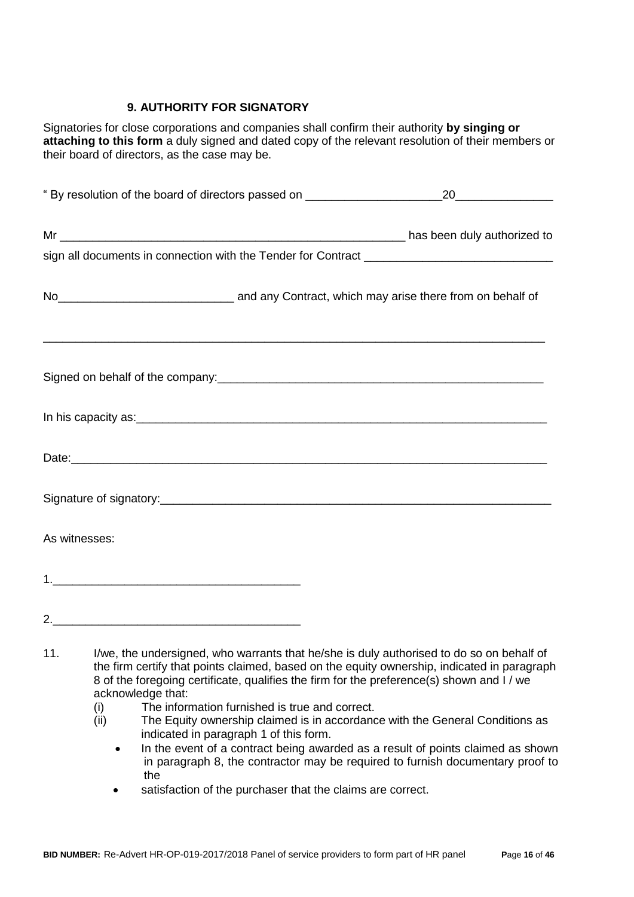### **9. AUTHORITY FOR SIGNATORY**

Signatories for close corporations and companies shall confirm their authority **by singing or attaching to this form** a duly signed and dated copy of the relevant resolution of their members or their board of directors, as the case may be.

| No <sub>__________________________________</sub> and any Contract, which may arise there from on behalf of                                                                                                                           |                                                                                          |
|--------------------------------------------------------------------------------------------------------------------------------------------------------------------------------------------------------------------------------------|------------------------------------------------------------------------------------------|
| Signed on behalf of the company: example and the company of the company of the company of the company of the company of the company of the company of the company of the company of the company of the company of the company        |                                                                                          |
| In his capacity as: <u>example and a set of the set of the set of the set of the set of the set of the set of the set of the set of the set of the set of the set of the set of the set of the set of the set of the set of the </u> |                                                                                          |
|                                                                                                                                                                                                                                      |                                                                                          |
|                                                                                                                                                                                                                                      |                                                                                          |
| As witnesses:                                                                                                                                                                                                                        |                                                                                          |
|                                                                                                                                                                                                                                      |                                                                                          |
|                                                                                                                                                                                                                                      |                                                                                          |
| 11.                                                                                                                                                                                                                                  | I/we, the undersigned, who warrants that he/she is duly authorised to do so on behalf of |

- the firm certify that points claimed, based on the equity ownership, indicated in paragraph 8 of the foregoing certificate, qualifies the firm for the preference(s) shown and I / we acknowledge that:
	- (i) The information furnished is true and correct.
	- (ii) The Equity ownership claimed is in accordance with the General Conditions as indicated in paragraph 1 of this form.
		- In the event of a contract being awarded as a result of points claimed as shown in paragraph 8, the contractor may be required to furnish documentary proof to the
		- satisfaction of the purchaser that the claims are correct.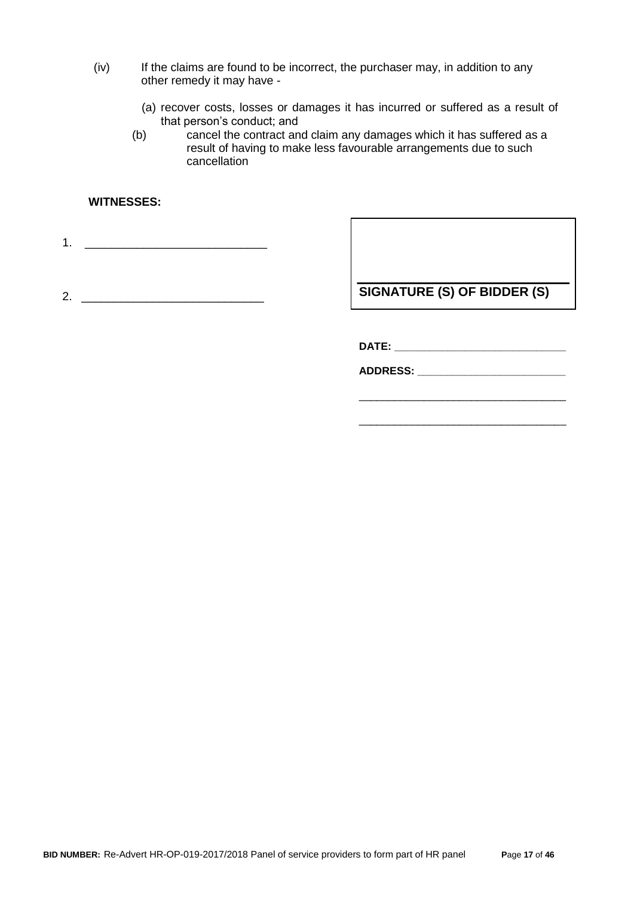- (iv) If the claims are found to be incorrect, the purchaser may, in addition to any other remedy it may have -
	- (a) recover costs, losses or damages it has incurred or suffered as a result of that person's conduct; and
	- (b) cancel the contract and claim any damages which it has suffered as a result of having to make less favourable arrangements due to such cancellation

#### **WITNESSES:**

1. \_\_\_\_\_\_\_\_\_\_\_\_\_\_\_\_\_\_\_\_\_\_\_\_\_\_\_\_

2. \_\_\_\_\_\_\_\_\_\_\_\_\_\_\_\_\_\_\_\_\_\_\_\_\_\_\_\_

**SIGNATURE (S) OF BIDDER (S)**

**DATE: \_\_\_\_\_\_\_\_\_\_\_\_\_\_\_\_\_\_\_\_\_\_\_\_\_\_\_\_\_**

**ADDRESS: \_\_\_\_\_\_\_\_\_\_\_\_\_\_\_\_\_\_\_\_\_\_\_\_\_**

\_\_\_\_\_\_\_\_\_\_\_\_\_\_\_\_\_\_\_\_\_\_\_\_\_\_\_\_\_\_\_\_\_\_\_

\_\_\_\_\_\_\_\_\_\_\_\_\_\_\_\_\_\_\_\_\_\_\_\_\_\_\_\_\_\_\_\_\_\_\_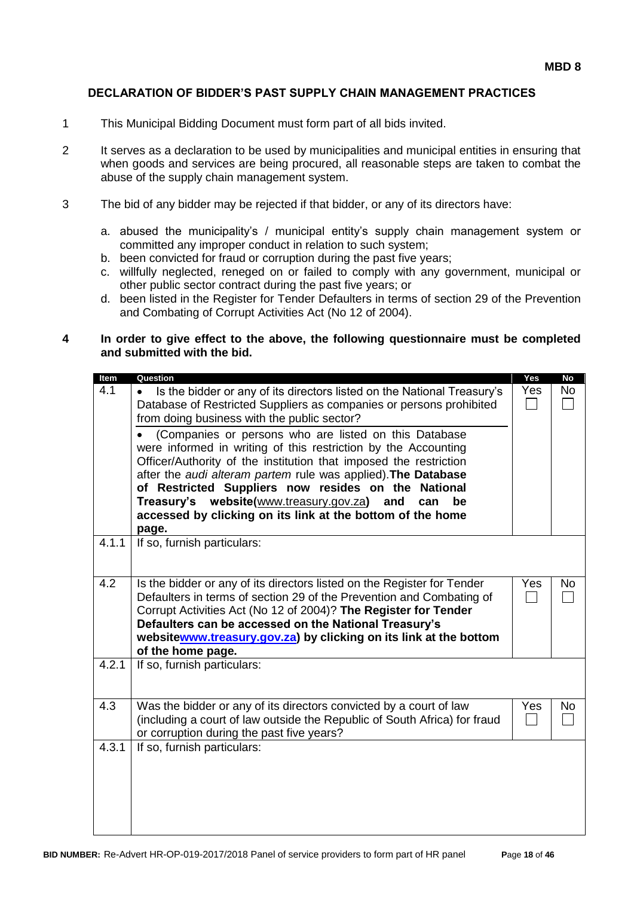#### **DECLARATION OF BIDDER'S PAST SUPPLY CHAIN MANAGEMENT PRACTICES**

- 1 This Municipal Bidding Document must form part of all bids invited.
- 2 It serves as a declaration to be used by municipalities and municipal entities in ensuring that when goods and services are being procured, all reasonable steps are taken to combat the abuse of the supply chain management system.
- 3 The bid of any bidder may be rejected if that bidder, or any of its directors have:
	- a. abused the municipality's / municipal entity's supply chain management system or committed any improper conduct in relation to such system;
	- b. been convicted for fraud or corruption during the past five years;
	- c. willfully neglected, reneged on or failed to comply with any government, municipal or other public sector contract during the past five years; or
	- d. been listed in the Register for Tender Defaulters in terms of section 29 of the Prevention and Combating of Corrupt Activities Act (No 12 of 2004).

#### **4 In order to give effect to the above, the following questionnaire must be completed and submitted with the bid.**

| Item  | Question                                                                                                                                                                                                                                                                                                                                                              | Yes | <b>No</b> |
|-------|-----------------------------------------------------------------------------------------------------------------------------------------------------------------------------------------------------------------------------------------------------------------------------------------------------------------------------------------------------------------------|-----|-----------|
| 4.1   | Is the bidder or any of its directors listed on the National Treasury's<br>$\bullet$<br>Database of Restricted Suppliers as companies or persons prohibited<br>from doing business with the public sector?                                                                                                                                                            | Yes | <b>No</b> |
|       | (Companies or persons who are listed on this Database<br>were informed in writing of this restriction by the Accounting<br>Officer/Authority of the institution that imposed the restriction<br>after the audi alteram partem rule was applied). The Database<br>of Restricted Suppliers now resides on the<br><b>National</b>                                        |     |           |
|       | Treasury's website(www.treasury.gov.za)<br>and<br>can<br>be<br>accessed by clicking on its link at the bottom of the home<br>page.                                                                                                                                                                                                                                    |     |           |
| 4.1.1 | If so, furnish particulars:                                                                                                                                                                                                                                                                                                                                           |     |           |
| 4.2   | Is the bidder or any of its directors listed on the Register for Tender<br>Defaulters in terms of section 29 of the Prevention and Combating of<br>Corrupt Activities Act (No 12 of 2004)? The Register for Tender<br>Defaulters can be accessed on the National Treasury's<br>websitewww.treasury.gov.za) by clicking on its link at the bottom<br>of the home page. | Yes | No        |
| 4.2.1 | If so, furnish particulars:                                                                                                                                                                                                                                                                                                                                           |     |           |
| 4.3   | Was the bidder or any of its directors convicted by a court of law<br>(including a court of law outside the Republic of South Africa) for fraud<br>or corruption during the past five years?                                                                                                                                                                          | Yes | No.       |
| 4.3.1 | If so, furnish particulars:                                                                                                                                                                                                                                                                                                                                           |     |           |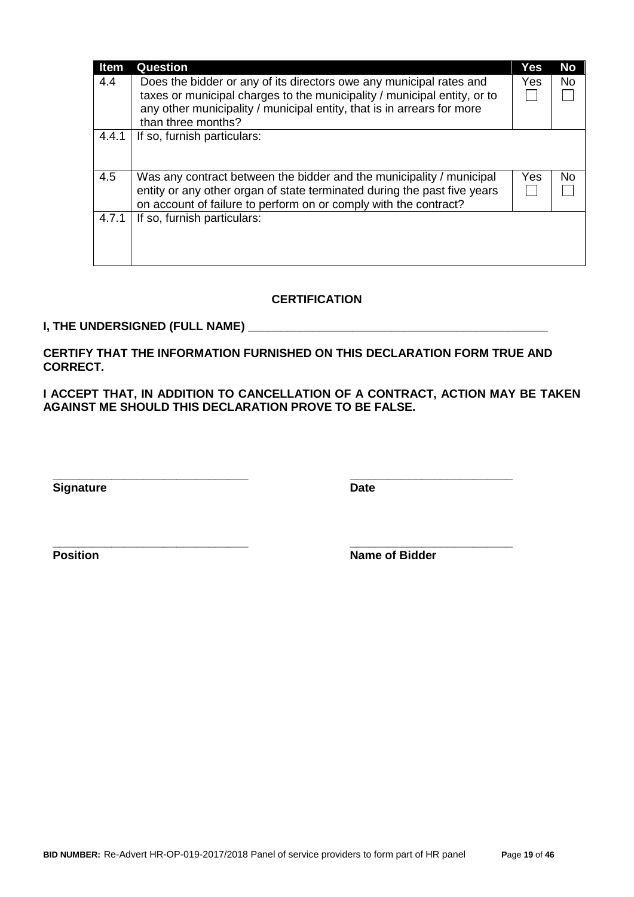| <b>Item</b> | Question                                                                                                                                                                                                                                        | Yes | <b>No</b> |
|-------------|-------------------------------------------------------------------------------------------------------------------------------------------------------------------------------------------------------------------------------------------------|-----|-----------|
| 4.4         | Does the bidder or any of its directors owe any municipal rates and<br>taxes or municipal charges to the municipality / municipal entity, or to<br>any other municipality / municipal entity, that is in arrears for more<br>than three months? | Yes | <b>No</b> |
| 4.4.1       | If so, furnish particulars:                                                                                                                                                                                                                     |     |           |
| 4.5         | Was any contract between the bidder and the municipality / municipal<br>entity or any other organ of state terminated during the past five years<br>on account of failure to perform on or comply with the contract?                            | Yes | No.       |
| 4.7.1       | If so, furnish particulars:                                                                                                                                                                                                                     |     |           |

### **CERTIFICATION**

#### **I, THE UNDERSIGNED (FULL NAME) \_\_\_\_\_\_\_\_\_\_\_\_\_\_\_\_\_\_\_\_\_\_\_\_\_\_\_\_\_\_\_\_\_\_\_\_\_\_\_\_\_\_\_\_\_\_**

**CERTIFY THAT THE INFORMATION FURNISHED ON THIS DECLARATION FORM TRUE AND CORRECT.**

**\_\_\_\_\_\_\_\_\_\_\_\_\_\_\_\_\_\_\_\_\_\_\_\_\_\_\_\_\_\_ \_\_\_\_\_\_\_\_\_\_\_\_\_\_\_\_\_\_\_\_\_\_\_\_\_**

**\_\_\_\_\_\_\_\_\_\_\_\_\_\_\_\_\_\_\_\_\_\_\_\_\_\_\_\_\_\_ \_\_\_\_\_\_\_\_\_\_\_\_\_\_\_\_\_\_\_\_\_\_\_\_\_**

**I ACCEPT THAT, IN ADDITION TO CANCELLATION OF A CONTRACT, ACTION MAY BE TAKEN AGAINST ME SHOULD THIS DECLARATION PROVE TO BE FALSE.**

**Signature Date** 

**Position Name of Bidder**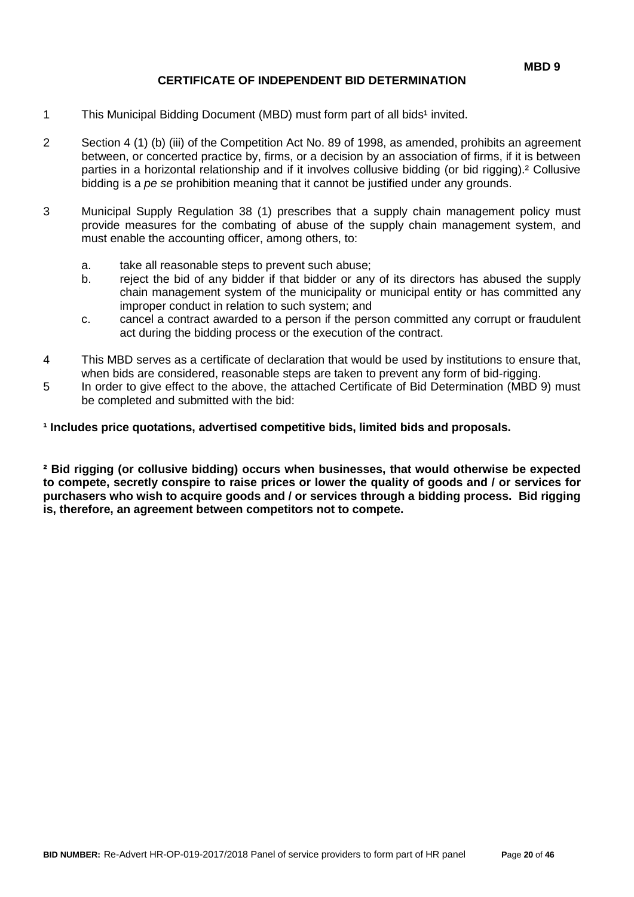#### **CERTIFICATE OF INDEPENDENT BID DETERMINATION**

- 1 This Municipal Bidding Document (MBD) must form part of all bids<sup>1</sup> invited.
- 2 Section 4 (1) (b) (iii) of the Competition Act No. 89 of 1998, as amended, prohibits an agreement between, or concerted practice by, firms, or a decision by an association of firms, if it is between parties in a horizontal relationship and if it involves collusive bidding (or bid rigging).² Collusive bidding is a *pe se* prohibition meaning that it cannot be justified under any grounds.
- 3 Municipal Supply Regulation 38 (1) prescribes that a supply chain management policy must provide measures for the combating of abuse of the supply chain management system, and must enable the accounting officer, among others, to:
	- a. take all reasonable steps to prevent such abuse;
	- b. reject the bid of any bidder if that bidder or any of its directors has abused the supply chain management system of the municipality or municipal entity or has committed any improper conduct in relation to such system; and
	- c. cancel a contract awarded to a person if the person committed any corrupt or fraudulent act during the bidding process or the execution of the contract.
- 4 This MBD serves as a certificate of declaration that would be used by institutions to ensure that, when bids are considered, reasonable steps are taken to prevent any form of bid-rigging.
- 5 In order to give effect to the above, the attached Certificate of Bid Determination (MBD 9) must be completed and submitted with the bid:

**¹ Includes price quotations, advertised competitive bids, limited bids and proposals.**

**² Bid rigging (or collusive bidding) occurs when businesses, that would otherwise be expected to compete, secretly conspire to raise prices or lower the quality of goods and / or services for purchasers who wish to acquire goods and / or services through a bidding process. Bid rigging is, therefore, an agreement between competitors not to compete.**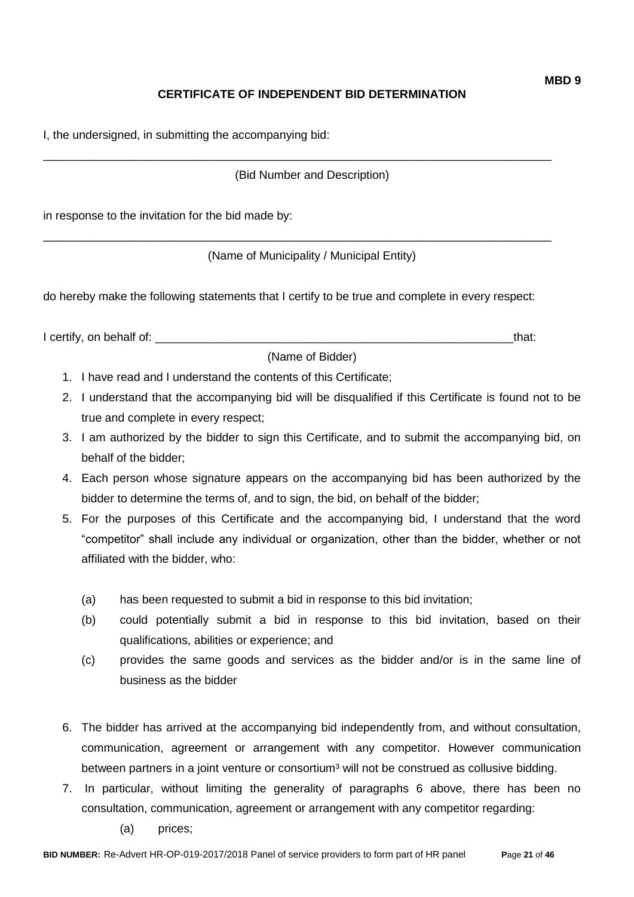### **CERTIFICATE OF INDEPENDENT BID DETERMINATION**

I, the undersigned, in submitting the accompanying bid:

(Bid Number and Description)

\_\_\_\_\_\_\_\_\_\_\_\_\_\_\_\_\_\_\_\_\_\_\_\_\_\_\_\_\_\_\_\_\_\_\_\_\_\_\_\_\_\_\_\_\_\_\_\_\_\_\_\_\_\_\_\_\_\_\_\_\_\_\_\_\_\_\_\_\_\_\_\_\_\_\_\_\_\_

\_\_\_\_\_\_\_\_\_\_\_\_\_\_\_\_\_\_\_\_\_\_\_\_\_\_\_\_\_\_\_\_\_\_\_\_\_\_\_\_\_\_\_\_\_\_\_\_\_\_\_\_\_\_\_\_\_\_\_\_\_\_\_\_\_\_\_\_\_\_\_\_\_\_\_\_\_\_

in response to the invitation for the bid made by:

(Name of Municipality / Municipal Entity)

do hereby make the following statements that I certify to be true and complete in every respect:

I certify, on behalf of: the same of the same of the same of the same of the same of the same of the same of the same of the same of the same of the same of the same of the same of the same of the same of the same of the s

(Name of Bidder)

1. I have read and I understand the contents of this Certificate;

- 2. I understand that the accompanying bid will be disqualified if this Certificate is found not to be true and complete in every respect;
- 3. I am authorized by the bidder to sign this Certificate, and to submit the accompanying bid, on behalf of the bidder;
- 4. Each person whose signature appears on the accompanying bid has been authorized by the bidder to determine the terms of, and to sign, the bid, on behalf of the bidder;
- 5. For the purposes of this Certificate and the accompanying bid, I understand that the word "competitor" shall include any individual or organization, other than the bidder, whether or not affiliated with the bidder, who:
	- (a) has been requested to submit a bid in response to this bid invitation;
	- (b) could potentially submit a bid in response to this bid invitation, based on their qualifications, abilities or experience; and
	- (c) provides the same goods and services as the bidder and/or is in the same line of business as the bidder
- 6. The bidder has arrived at the accompanying bid independently from, and without consultation, communication, agreement or arrangement with any competitor. However communication between partners in a joint venture or consortium<sup>3</sup> will not be construed as collusive bidding.
- 7. In particular, without limiting the generality of paragraphs 6 above, there has been no consultation, communication, agreement or arrangement with any competitor regarding:
	- (a) prices;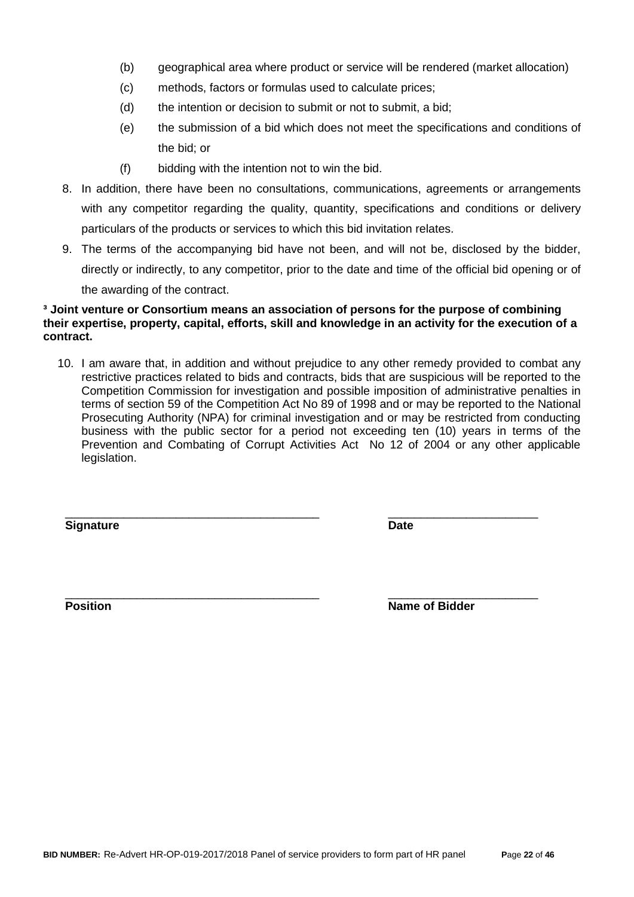- (b) geographical area where product or service will be rendered (market allocation)
- (c) methods, factors or formulas used to calculate prices;
- (d) the intention or decision to submit or not to submit, a bid;
- (e) the submission of a bid which does not meet the specifications and conditions of the bid; or
- (f) bidding with the intention not to win the bid.
- 8. In addition, there have been no consultations, communications, agreements or arrangements with any competitor regarding the quality, quantity, specifications and conditions or delivery particulars of the products or services to which this bid invitation relates.
- 9. The terms of the accompanying bid have not been, and will not be, disclosed by the bidder, directly or indirectly, to any competitor, prior to the date and time of the official bid opening or of the awarding of the contract.

#### **³ Joint venture or Consortium means an association of persons for the purpose of combining their expertise, property, capital, efforts, skill and knowledge in an activity for the execution of a contract.**

10. I am aware that, in addition and without prejudice to any other remedy provided to combat any restrictive practices related to bids and contracts, bids that are suspicious will be reported to the Competition Commission for investigation and possible imposition of administrative penalties in terms of section 59 of the Competition Act No 89 of 1998 and or may be reported to the National Prosecuting Authority (NPA) for criminal investigation and or may be restricted from conducting business with the public sector for a period not exceeding ten (10) years in terms of the Prevention and Combating of Corrupt Activities Act No 12 of 2004 or any other applicable legislation.

\_\_\_\_\_\_\_\_\_\_\_\_\_\_\_\_\_\_\_\_\_\_\_\_\_\_\_\_\_\_\_\_\_\_\_\_\_\_\_ \_\_\_\_\_\_\_\_\_\_\_\_\_\_\_\_\_\_\_\_\_\_\_

**Signature Date**

\_\_\_\_\_\_\_\_\_\_\_\_\_\_\_\_\_\_\_\_\_\_\_\_\_\_\_\_\_\_\_\_\_\_\_\_\_\_\_ \_\_\_\_\_\_\_\_\_\_\_\_\_\_\_\_\_\_\_\_\_\_\_ **Position Position Name of Bidder**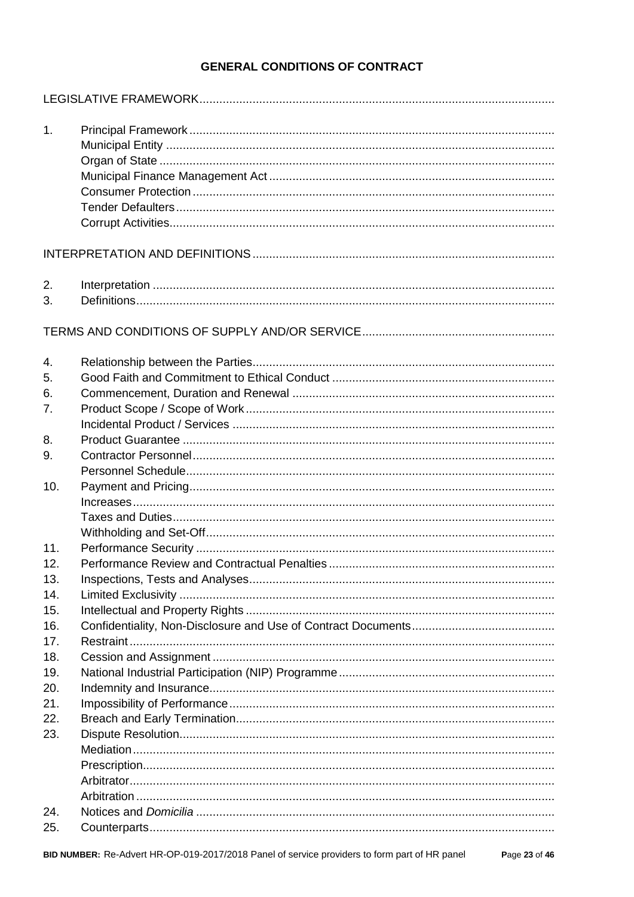## **GENERAL CONDITIONS OF CONTRACT**

| 1.         |  |
|------------|--|
|            |  |
|            |  |
|            |  |
|            |  |
| 2.         |  |
| 3.         |  |
|            |  |
| 4.         |  |
| 5.         |  |
| 6.         |  |
| 7.         |  |
|            |  |
| 8.         |  |
| 9.         |  |
|            |  |
| 10.        |  |
|            |  |
|            |  |
|            |  |
| 11.        |  |
| 12.        |  |
| 13.<br>14. |  |
| 15.        |  |
| 16.        |  |
| 17.        |  |
| 18.        |  |
| 19.        |  |
| 20.        |  |
| 21.        |  |
| 22.        |  |
| 23.        |  |
|            |  |
|            |  |
|            |  |
|            |  |
| 24.        |  |
| 25.        |  |

Page 23 of 46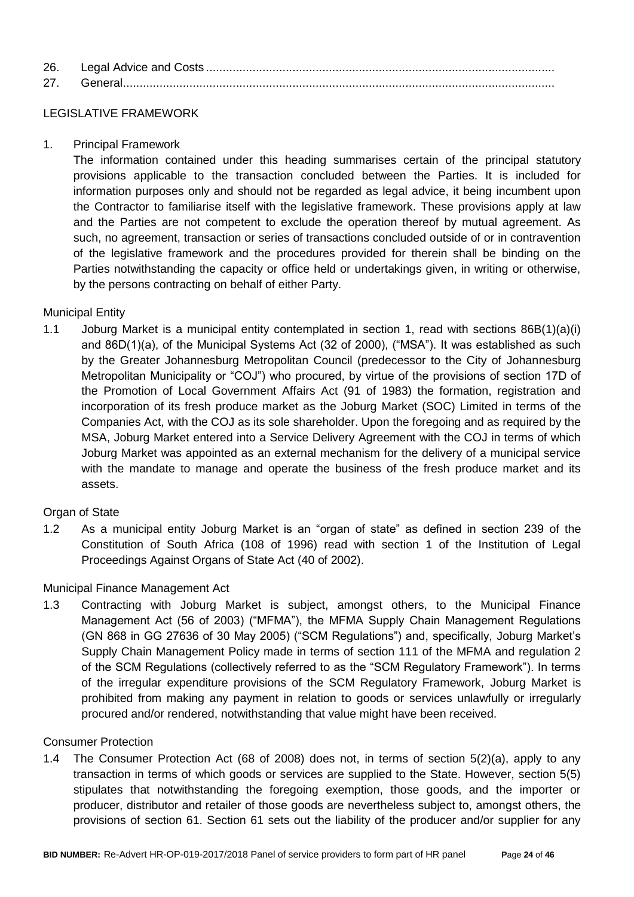| 26. |  |
|-----|--|
| 27  |  |

### LEGISLATIVE FRAMEWORK

1. Principal Framework

The information contained under this heading summarises certain of the principal statutory provisions applicable to the transaction concluded between the Parties. It is included for information purposes only and should not be regarded as legal advice, it being incumbent upon the Contractor to familiarise itself with the legislative framework. These provisions apply at law and the Parties are not competent to exclude the operation thereof by mutual agreement. As such, no agreement, transaction or series of transactions concluded outside of or in contravention of the legislative framework and the procedures provided for therein shall be binding on the Parties notwithstanding the capacity or office held or undertakings given, in writing or otherwise, by the persons contracting on behalf of either Party.

### Municipal Entity

1.1 Joburg Market is a municipal entity contemplated in section 1, read with sections 86B(1)(a)(i) and 86D(1)(a), of the Municipal Systems Act (32 of 2000), ("MSA"). It was established as such by the Greater Johannesburg Metropolitan Council (predecessor to the City of Johannesburg Metropolitan Municipality or "COJ") who procured, by virtue of the provisions of section 17D of the Promotion of Local Government Affairs Act (91 of 1983) the formation, registration and incorporation of its fresh produce market as the Joburg Market (SOC) Limited in terms of the Companies Act, with the COJ as its sole shareholder. Upon the foregoing and as required by the MSA, Joburg Market entered into a Service Delivery Agreement with the COJ in terms of which Joburg Market was appointed as an external mechanism for the delivery of a municipal service with the mandate to manage and operate the business of the fresh produce market and its assets.

#### Organ of State

1.2 As a municipal entity Joburg Market is an "organ of state" as defined in section 239 of the Constitution of South Africa (108 of 1996) read with section 1 of the Institution of Legal Proceedings Against Organs of State Act (40 of 2002).

#### Municipal Finance Management Act

1.3 Contracting with Joburg Market is subject, amongst others, to the Municipal Finance Management Act (56 of 2003) ("MFMA"), the MFMA Supply Chain Management Regulations (GN 868 in GG 27636 of 30 May 2005) ("SCM Regulations") and, specifically, Joburg Market's Supply Chain Management Policy made in terms of section 111 of the MFMA and regulation 2 of the SCM Regulations (collectively referred to as the "SCM Regulatory Framework"). In terms of the irregular expenditure provisions of the SCM Regulatory Framework, Joburg Market is prohibited from making any payment in relation to goods or services unlawfully or irregularly procured and/or rendered, notwithstanding that value might have been received.

#### Consumer Protection

1.4 The Consumer Protection Act (68 of 2008) does not, in terms of section 5(2)(a), apply to any transaction in terms of which goods or services are supplied to the State. However, section 5(5) stipulates that notwithstanding the foregoing exemption, those goods, and the importer or producer, distributor and retailer of those goods are nevertheless subject to, amongst others, the provisions of section 61. Section 61 sets out the liability of the producer and/or supplier for any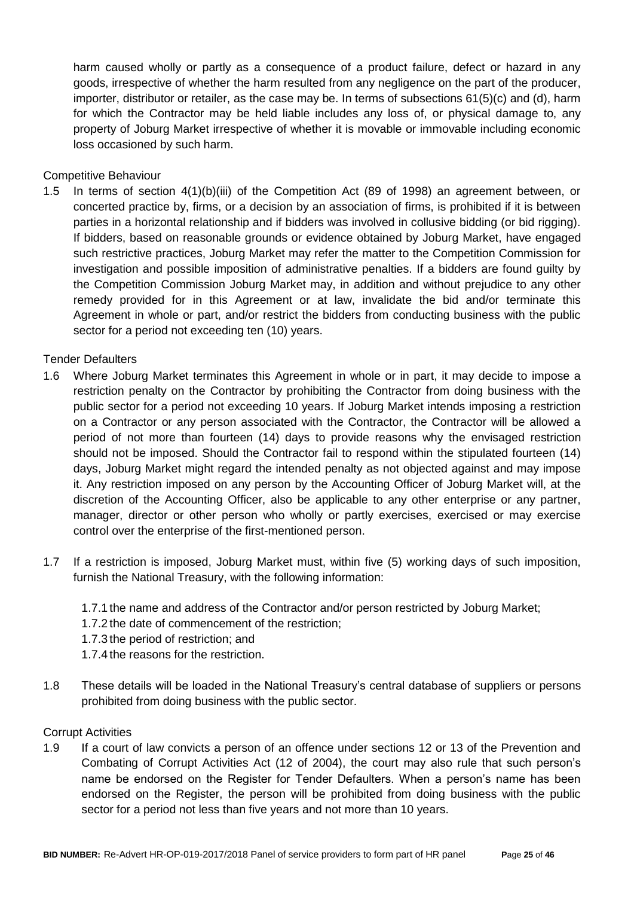harm caused wholly or partly as a consequence of a product failure, defect or hazard in any goods, irrespective of whether the harm resulted from any negligence on the part of the producer, importer, distributor or retailer, as the case may be. In terms of subsections 61(5)(c) and (d), harm for which the Contractor may be held liable includes any loss of, or physical damage to, any property of Joburg Market irrespective of whether it is movable or immovable including economic loss occasioned by such harm.

#### Competitive Behaviour

1.5 In terms of section 4(1)(b)(iii) of the Competition Act (89 of 1998) an agreement between, or concerted practice by, firms, or a decision by an association of firms, is prohibited if it is between parties in a horizontal relationship and if bidders was involved in collusive bidding (or bid rigging). If bidders, based on reasonable grounds or evidence obtained by Joburg Market, have engaged such restrictive practices, Joburg Market may refer the matter to the Competition Commission for investigation and possible imposition of administrative penalties. If a bidders are found guilty by the Competition Commission Joburg Market may, in addition and without prejudice to any other remedy provided for in this Agreement or at law, invalidate the bid and/or terminate this Agreement in whole or part, and/or restrict the bidders from conducting business with the public sector for a period not exceeding ten (10) years.

#### Tender Defaulters

- 1.6 Where Joburg Market terminates this Agreement in whole or in part, it may decide to impose a restriction penalty on the Contractor by prohibiting the Contractor from doing business with the public sector for a period not exceeding 10 years. If Joburg Market intends imposing a restriction on a Contractor or any person associated with the Contractor, the Contractor will be allowed a period of not more than fourteen (14) days to provide reasons why the envisaged restriction should not be imposed. Should the Contractor fail to respond within the stipulated fourteen (14) days, Joburg Market might regard the intended penalty as not objected against and may impose it. Any restriction imposed on any person by the Accounting Officer of Joburg Market will, at the discretion of the Accounting Officer, also be applicable to any other enterprise or any partner, manager, director or other person who wholly or partly exercises, exercised or may exercise control over the enterprise of the first-mentioned person.
- 1.7 If a restriction is imposed, Joburg Market must, within five (5) working days of such imposition, furnish the National Treasury, with the following information:
	- 1.7.1 the name and address of the Contractor and/or person restricted by Joburg Market;
	- 1.7.2 the date of commencement of the restriction;
	- 1.7.3 the period of restriction; and
	- 1.7.4 the reasons for the restriction.
- 1.8 These details will be loaded in the National Treasury's central database of suppliers or persons prohibited from doing business with the public sector.

#### Corrupt Activities

1.9 If a court of law convicts a person of an offence under sections 12 or 13 of the Prevention and Combating of Corrupt Activities Act (12 of 2004), the court may also rule that such person's name be endorsed on the Register for Tender Defaulters. When a person's name has been endorsed on the Register, the person will be prohibited from doing business with the public sector for a period not less than five years and not more than 10 years.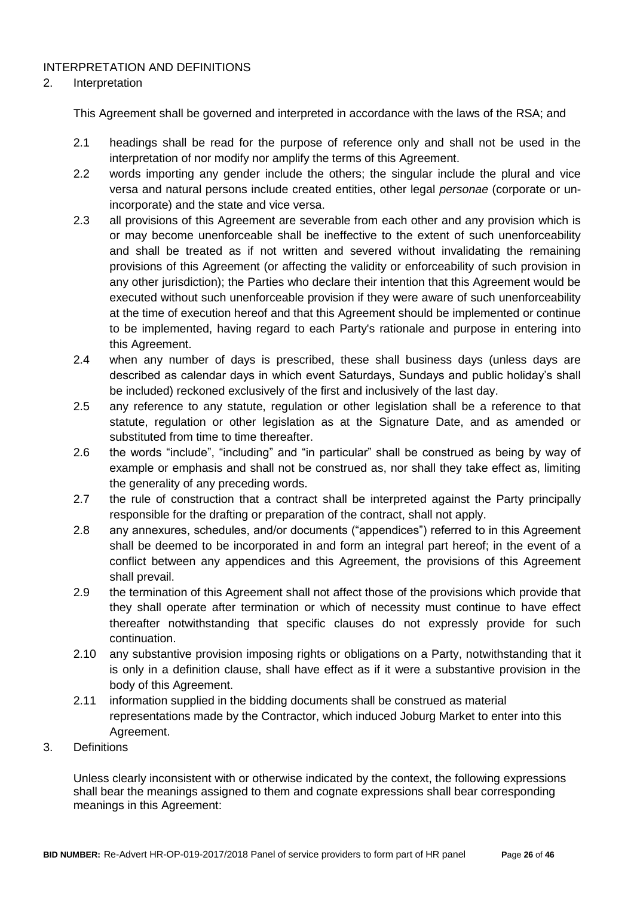### INTERPRETATION AND DEFINITIONS

#### 2. Interpretation

This Agreement shall be governed and interpreted in accordance with the laws of the RSA; and

- 2.1 headings shall be read for the purpose of reference only and shall not be used in the interpretation of nor modify nor amplify the terms of this Agreement.
- 2.2 words importing any gender include the others; the singular include the plural and vice versa and natural persons include created entities, other legal *personae* (corporate or unincorporate) and the state and vice versa.
- 2.3 all provisions of this Agreement are severable from each other and any provision which is or may become unenforceable shall be ineffective to the extent of such unenforceability and shall be treated as if not written and severed without invalidating the remaining provisions of this Agreement (or affecting the validity or enforceability of such provision in any other jurisdiction); the Parties who declare their intention that this Agreement would be executed without such unenforceable provision if they were aware of such unenforceability at the time of execution hereof and that this Agreement should be implemented or continue to be implemented, having regard to each Party's rationale and purpose in entering into this Agreement.
- 2.4 when any number of days is prescribed, these shall business days (unless days are described as calendar days in which event Saturdays, Sundays and public holiday's shall be included) reckoned exclusively of the first and inclusively of the last day.
- 2.5 any reference to any statute, regulation or other legislation shall be a reference to that statute, regulation or other legislation as at the Signature Date, and as amended or substituted from time to time thereafter.
- 2.6 the words "include", "including" and "in particular" shall be construed as being by way of example or emphasis and shall not be construed as, nor shall they take effect as, limiting the generality of any preceding words.
- 2.7 the rule of construction that a contract shall be interpreted against the Party principally responsible for the drafting or preparation of the contract, shall not apply.
- 2.8 any annexures, schedules, and/or documents ("appendices") referred to in this Agreement shall be deemed to be incorporated in and form an integral part hereof; in the event of a conflict between any appendices and this Agreement, the provisions of this Agreement shall prevail.
- 2.9 the termination of this Agreement shall not affect those of the provisions which provide that they shall operate after termination or which of necessity must continue to have effect thereafter notwithstanding that specific clauses do not expressly provide for such continuation.
- 2.10 any substantive provision imposing rights or obligations on a Party, notwithstanding that it is only in a definition clause, shall have effect as if it were a substantive provision in the body of this Agreement.
- 2.11 information supplied in the bidding documents shall be construed as material representations made by the Contractor, which induced Joburg Market to enter into this Agreement.
- 3. Definitions

Unless clearly inconsistent with or otherwise indicated by the context, the following expressions shall bear the meanings assigned to them and cognate expressions shall bear corresponding meanings in this Agreement: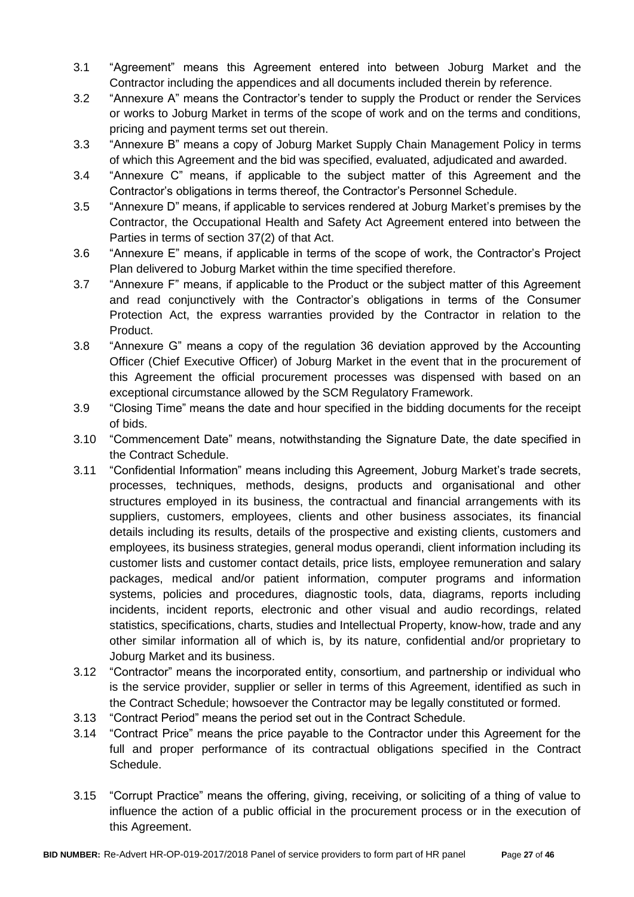- 3.1 "Agreement" means this Agreement entered into between Joburg Market and the Contractor including the appendices and all documents included therein by reference.
- 3.2 "Annexure A" means the Contractor's tender to supply the Product or render the Services or works to Joburg Market in terms of the scope of work and on the terms and conditions, pricing and payment terms set out therein.
- 3.3 "Annexure B" means a copy of Joburg Market Supply Chain Management Policy in terms of which this Agreement and the bid was specified, evaluated, adjudicated and awarded.
- 3.4 "Annexure C" means, if applicable to the subject matter of this Agreement and the Contractor's obligations in terms thereof, the Contractor's Personnel Schedule.
- 3.5 "Annexure D" means, if applicable to services rendered at Joburg Market's premises by the Contractor, the Occupational Health and Safety Act Agreement entered into between the Parties in terms of section 37(2) of that Act.
- 3.6 "Annexure E" means, if applicable in terms of the scope of work, the Contractor's Project Plan delivered to Joburg Market within the time specified therefore.
- 3.7 "Annexure F" means, if applicable to the Product or the subject matter of this Agreement and read conjunctively with the Contractor's obligations in terms of the Consumer Protection Act, the express warranties provided by the Contractor in relation to the Product.
- 3.8 "Annexure G" means a copy of the regulation 36 deviation approved by the Accounting Officer (Chief Executive Officer) of Joburg Market in the event that in the procurement of this Agreement the official procurement processes was dispensed with based on an exceptional circumstance allowed by the SCM Regulatory Framework.
- 3.9 "Closing Time" means the date and hour specified in the bidding documents for the receipt of bids.
- 3.10 "Commencement Date" means, notwithstanding the Signature Date, the date specified in the Contract Schedule.
- 3.11 "Confidential Information" means including this Agreement, Joburg Market's trade secrets, processes, techniques, methods, designs, products and organisational and other structures employed in its business, the contractual and financial arrangements with its suppliers, customers, employees, clients and other business associates, its financial details including its results, details of the prospective and existing clients, customers and employees, its business strategies, general modus operandi, client information including its customer lists and customer contact details, price lists, employee remuneration and salary packages, medical and/or patient information, computer programs and information systems, policies and procedures, diagnostic tools, data, diagrams, reports including incidents, incident reports, electronic and other visual and audio recordings, related statistics, specifications, charts, studies and Intellectual Property, know-how, trade and any other similar information all of which is, by its nature, confidential and/or proprietary to Joburg Market and its business.
- 3.12 "Contractor" means the incorporated entity, consortium, and partnership or individual who is the service provider, supplier or seller in terms of this Agreement, identified as such in the Contract Schedule; howsoever the Contractor may be legally constituted or formed.
- 3.13 "Contract Period" means the period set out in the Contract Schedule.
- 3.14 "Contract Price" means the price payable to the Contractor under this Agreement for the full and proper performance of its contractual obligations specified in the Contract Schedule.
- 3.15 "Corrupt Practice" means the offering, giving, receiving, or soliciting of a thing of value to influence the action of a public official in the procurement process or in the execution of this Agreement.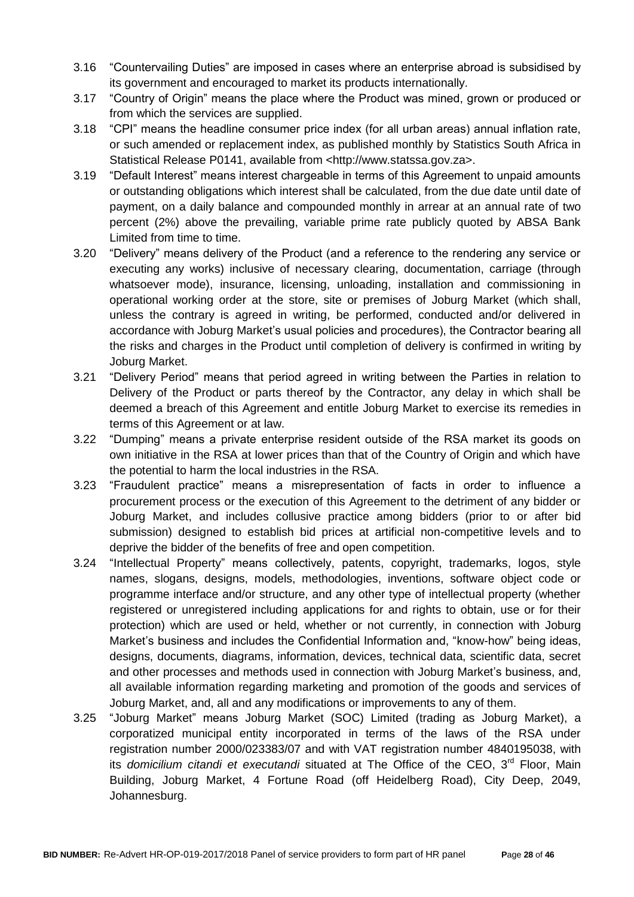- 3.16 "Countervailing Duties" are imposed in cases where an enterprise abroad is subsidised by its government and encouraged to market its products internationally.
- 3.17 "Country of Origin" means the place where the Product was mined, grown or produced or from which the services are supplied.
- 3.18 "CPI" means the headline consumer price index (for all urban areas) annual inflation rate, or such amended or replacement index, as published monthly by Statistics South Africa in Statistical Release P0141, available from <http://www.statssa.gov.za>.
- 3.19 "Default Interest" means interest chargeable in terms of this Agreement to unpaid amounts or outstanding obligations which interest shall be calculated, from the due date until date of payment, on a daily balance and compounded monthly in arrear at an annual rate of two percent (2%) above the prevailing, variable prime rate publicly quoted by ABSA Bank Limited from time to time.
- 3.20 "Delivery" means delivery of the Product (and a reference to the rendering any service or executing any works) inclusive of necessary clearing, documentation, carriage (through whatsoever mode), insurance, licensing, unloading, installation and commissioning in operational working order at the store, site or premises of Joburg Market (which shall, unless the contrary is agreed in writing, be performed, conducted and/or delivered in accordance with Joburg Market's usual policies and procedures), the Contractor bearing all the risks and charges in the Product until completion of delivery is confirmed in writing by Joburg Market.
- 3.21 "Delivery Period" means that period agreed in writing between the Parties in relation to Delivery of the Product or parts thereof by the Contractor, any delay in which shall be deemed a breach of this Agreement and entitle Joburg Market to exercise its remedies in terms of this Agreement or at law.
- 3.22 "Dumping" means a private enterprise resident outside of the RSA market its goods on own initiative in the RSA at lower prices than that of the Country of Origin and which have the potential to harm the local industries in the RSA.
- 3.23 "Fraudulent practice" means a misrepresentation of facts in order to influence a procurement process or the execution of this Agreement to the detriment of any bidder or Joburg Market, and includes collusive practice among bidders (prior to or after bid submission) designed to establish bid prices at artificial non-competitive levels and to deprive the bidder of the benefits of free and open competition.
- 3.24 "Intellectual Property" means collectively, patents, copyright, trademarks, logos, style names, slogans, designs, models, methodologies, inventions, software object code or programme interface and/or structure, and any other type of intellectual property (whether registered or unregistered including applications for and rights to obtain, use or for their protection) which are used or held, whether or not currently, in connection with Joburg Market's business and includes the Confidential Information and, "know-how" being ideas, designs, documents, diagrams, information, devices, technical data, scientific data, secret and other processes and methods used in connection with Joburg Market's business, and, all available information regarding marketing and promotion of the goods and services of Joburg Market, and, all and any modifications or improvements to any of them.
- 3.25 "Joburg Market" means Joburg Market (SOC) Limited (trading as Joburg Market), a corporatized municipal entity incorporated in terms of the laws of the RSA under registration number 2000/023383/07 and with VAT registration number 4840195038, with its *domicilium citandi et executandi* situated at The Office of the CEO, 3<sup>rd</sup> Floor, Main Building, Joburg Market, 4 Fortune Road (off Heidelberg Road), City Deep, 2049, Johannesburg.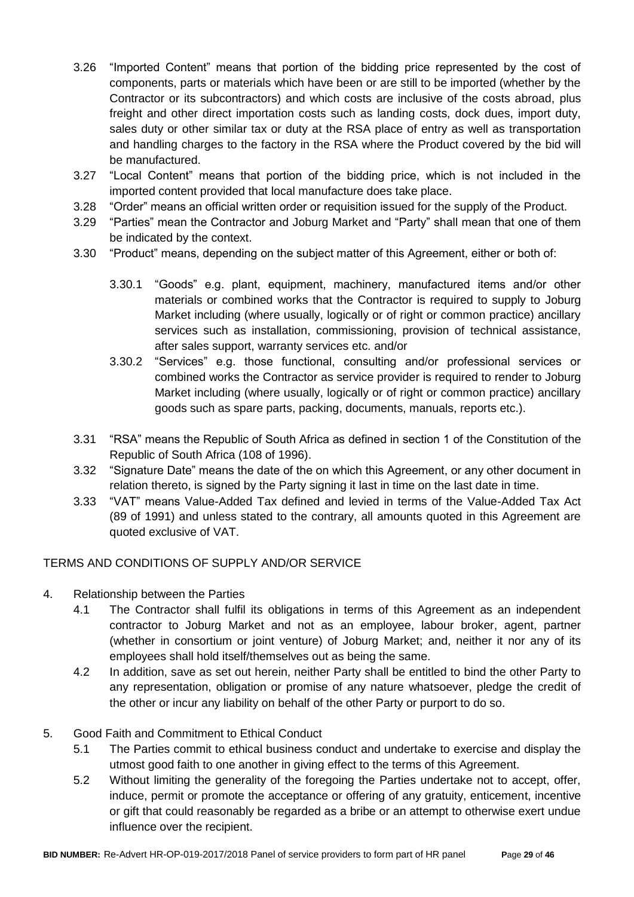- 3.26 "Imported Content" means that portion of the bidding price represented by the cost of components, parts or materials which have been or are still to be imported (whether by the Contractor or its subcontractors) and which costs are inclusive of the costs abroad, plus freight and other direct importation costs such as landing costs, dock dues, import duty, sales duty or other similar tax or duty at the RSA place of entry as well as transportation and handling charges to the factory in the RSA where the Product covered by the bid will be manufactured.
- 3.27 "Local Content" means that portion of the bidding price, which is not included in the imported content provided that local manufacture does take place.
- 3.28 "Order" means an official written order or requisition issued for the supply of the Product.
- 3.29 "Parties" mean the Contractor and Joburg Market and "Party" shall mean that one of them be indicated by the context.
- 3.30 "Product" means, depending on the subject matter of this Agreement, either or both of:
	- 3.30.1 "Goods" e.g. plant, equipment, machinery, manufactured items and/or other materials or combined works that the Contractor is required to supply to Joburg Market including (where usually, logically or of right or common practice) ancillary services such as installation, commissioning, provision of technical assistance, after sales support, warranty services etc. and/or
	- 3.30.2 "Services" e.g. those functional, consulting and/or professional services or combined works the Contractor as service provider is required to render to Joburg Market including (where usually, logically or of right or common practice) ancillary goods such as spare parts, packing, documents, manuals, reports etc.).
- 3.31 "RSA" means the Republic of South Africa as defined in section 1 of the Constitution of the Republic of South Africa (108 of 1996).
- 3.32 "Signature Date" means the date of the on which this Agreement, or any other document in relation thereto, is signed by the Party signing it last in time on the last date in time.
- 3.33 "VAT" means Value-Added Tax defined and levied in terms of the Value-Added Tax Act (89 of 1991) and unless stated to the contrary, all amounts quoted in this Agreement are quoted exclusive of VAT.

### TERMS AND CONDITIONS OF SUPPLY AND/OR SERVICE

- 4. Relationship between the Parties
	- 4.1 The Contractor shall fulfil its obligations in terms of this Agreement as an independent contractor to Joburg Market and not as an employee, labour broker, agent, partner (whether in consortium or joint venture) of Joburg Market; and, neither it nor any of its employees shall hold itself/themselves out as being the same.
	- 4.2 In addition, save as set out herein, neither Party shall be entitled to bind the other Party to any representation, obligation or promise of any nature whatsoever, pledge the credit of the other or incur any liability on behalf of the other Party or purport to do so.

### 5. Good Faith and Commitment to Ethical Conduct

- 5.1 The Parties commit to ethical business conduct and undertake to exercise and display the utmost good faith to one another in giving effect to the terms of this Agreement.
- 5.2 Without limiting the generality of the foregoing the Parties undertake not to accept, offer, induce, permit or promote the acceptance or offering of any gratuity, enticement, incentive or gift that could reasonably be regarded as a bribe or an attempt to otherwise exert undue influence over the recipient.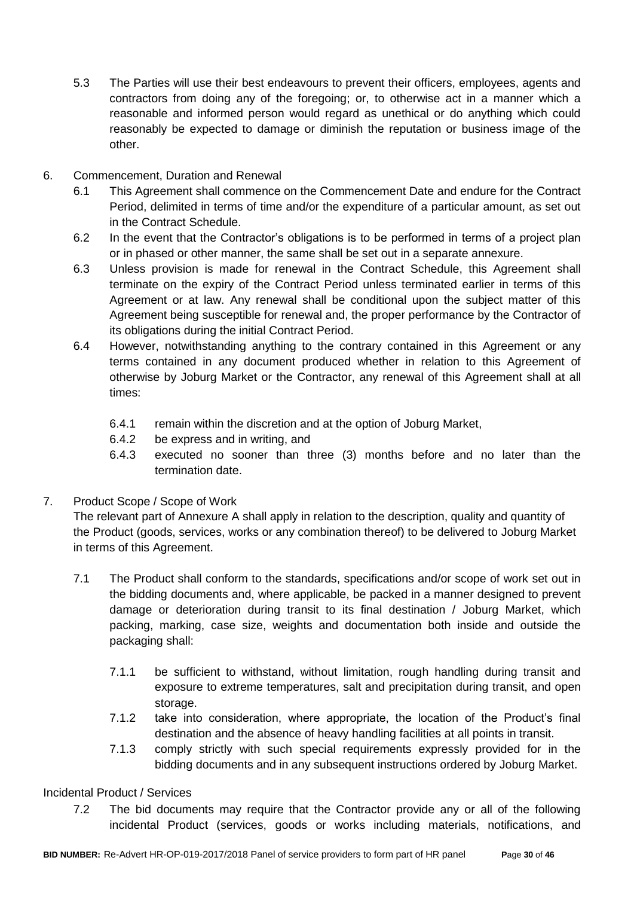- 5.3 The Parties will use their best endeavours to prevent their officers, employees, agents and contractors from doing any of the foregoing; or, to otherwise act in a manner which a reasonable and informed person would regard as unethical or do anything which could reasonably be expected to damage or diminish the reputation or business image of the other.
- 6. Commencement, Duration and Renewal
	- 6.1 This Agreement shall commence on the Commencement Date and endure for the Contract Period, delimited in terms of time and/or the expenditure of a particular amount, as set out in the Contract Schedule.
	- 6.2 In the event that the Contractor's obligations is to be performed in terms of a project plan or in phased or other manner, the same shall be set out in a separate annexure.
	- 6.3 Unless provision is made for renewal in the Contract Schedule, this Agreement shall terminate on the expiry of the Contract Period unless terminated earlier in terms of this Agreement or at law. Any renewal shall be conditional upon the subject matter of this Agreement being susceptible for renewal and, the proper performance by the Contractor of its obligations during the initial Contract Period.
	- 6.4 However, notwithstanding anything to the contrary contained in this Agreement or any terms contained in any document produced whether in relation to this Agreement of otherwise by Joburg Market or the Contractor, any renewal of this Agreement shall at all times:
		- 6.4.1 remain within the discretion and at the option of Joburg Market,
		- 6.4.2 be express and in writing, and
		- 6.4.3 executed no sooner than three (3) months before and no later than the termination date.
- 7. Product Scope / Scope of Work

The relevant part of Annexure A shall apply in relation to the description, quality and quantity of the Product (goods, services, works or any combination thereof) to be delivered to Joburg Market in terms of this Agreement.

- 7.1 The Product shall conform to the standards, specifications and/or scope of work set out in the bidding documents and, where applicable, be packed in a manner designed to prevent damage or deterioration during transit to its final destination / Joburg Market, which packing, marking, case size, weights and documentation both inside and outside the packaging shall:
	- 7.1.1 be sufficient to withstand, without limitation, rough handling during transit and exposure to extreme temperatures, salt and precipitation during transit, and open storage.
	- 7.1.2 take into consideration, where appropriate, the location of the Product's final destination and the absence of heavy handling facilities at all points in transit.
	- 7.1.3 comply strictly with such special requirements expressly provided for in the bidding documents and in any subsequent instructions ordered by Joburg Market.

### Incidental Product / Services

7.2 The bid documents may require that the Contractor provide any or all of the following incidental Product (services, goods or works including materials, notifications, and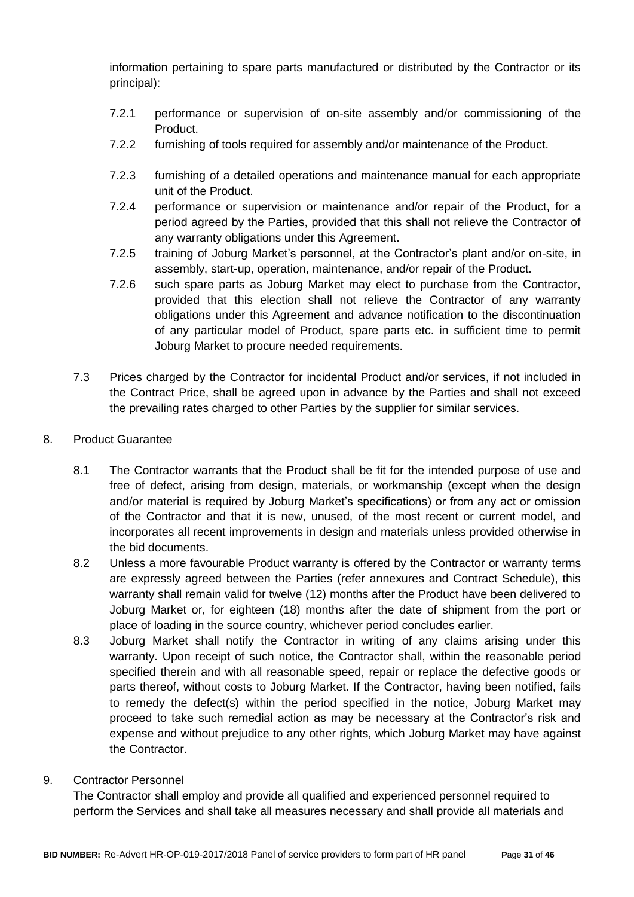information pertaining to spare parts manufactured or distributed by the Contractor or its principal):

- 7.2.1 performance or supervision of on-site assembly and/or commissioning of the Product.
- 7.2.2 furnishing of tools required for assembly and/or maintenance of the Product.
- 7.2.3 furnishing of a detailed operations and maintenance manual for each appropriate unit of the Product.
- 7.2.4 performance or supervision or maintenance and/or repair of the Product, for a period agreed by the Parties, provided that this shall not relieve the Contractor of any warranty obligations under this Agreement.
- 7.2.5 training of Joburg Market's personnel, at the Contractor's plant and/or on-site, in assembly, start-up, operation, maintenance, and/or repair of the Product.
- 7.2.6 such spare parts as Joburg Market may elect to purchase from the Contractor, provided that this election shall not relieve the Contractor of any warranty obligations under this Agreement and advance notification to the discontinuation of any particular model of Product, spare parts etc. in sufficient time to permit Joburg Market to procure needed requirements.
- 7.3 Prices charged by the Contractor for incidental Product and/or services, if not included in the Contract Price, shall be agreed upon in advance by the Parties and shall not exceed the prevailing rates charged to other Parties by the supplier for similar services.
- 8. Product Guarantee
	- 8.1 The Contractor warrants that the Product shall be fit for the intended purpose of use and free of defect, arising from design, materials, or workmanship (except when the design and/or material is required by Joburg Market's specifications) or from any act or omission of the Contractor and that it is new, unused, of the most recent or current model, and incorporates all recent improvements in design and materials unless provided otherwise in the bid documents.
	- 8.2 Unless a more favourable Product warranty is offered by the Contractor or warranty terms are expressly agreed between the Parties (refer annexures and Contract Schedule), this warranty shall remain valid for twelve (12) months after the Product have been delivered to Joburg Market or, for eighteen (18) months after the date of shipment from the port or place of loading in the source country, whichever period concludes earlier.
	- 8.3 Joburg Market shall notify the Contractor in writing of any claims arising under this warranty. Upon receipt of such notice, the Contractor shall, within the reasonable period specified therein and with all reasonable speed, repair or replace the defective goods or parts thereof, without costs to Joburg Market. If the Contractor, having been notified, fails to remedy the defect(s) within the period specified in the notice, Joburg Market may proceed to take such remedial action as may be necessary at the Contractor's risk and expense and without prejudice to any other rights, which Joburg Market may have against the Contractor.
- 9. Contractor Personnel

The Contractor shall employ and provide all qualified and experienced personnel required to perform the Services and shall take all measures necessary and shall provide all materials and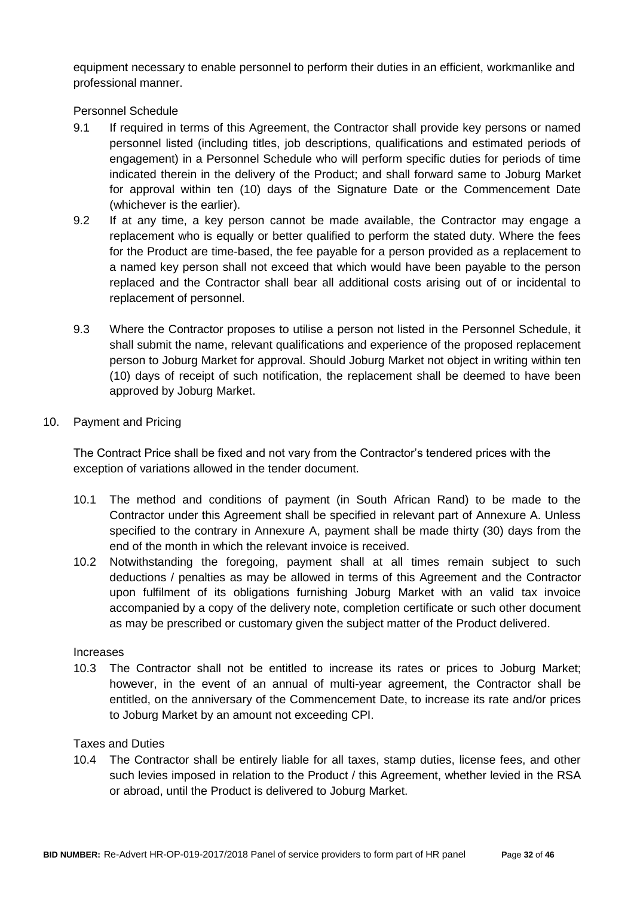equipment necessary to enable personnel to perform their duties in an efficient, workmanlike and professional manner.

Personnel Schedule

- 9.1 If required in terms of this Agreement, the Contractor shall provide key persons or named personnel listed (including titles, job descriptions, qualifications and estimated periods of engagement) in a Personnel Schedule who will perform specific duties for periods of time indicated therein in the delivery of the Product; and shall forward same to Joburg Market for approval within ten (10) days of the Signature Date or the Commencement Date (whichever is the earlier).
- 9.2 If at any time, a key person cannot be made available, the Contractor may engage a replacement who is equally or better qualified to perform the stated duty. Where the fees for the Product are time-based, the fee payable for a person provided as a replacement to a named key person shall not exceed that which would have been payable to the person replaced and the Contractor shall bear all additional costs arising out of or incidental to replacement of personnel.
- 9.3 Where the Contractor proposes to utilise a person not listed in the Personnel Schedule, it shall submit the name, relevant qualifications and experience of the proposed replacement person to Joburg Market for approval. Should Joburg Market not object in writing within ten (10) days of receipt of such notification, the replacement shall be deemed to have been approved by Joburg Market.
- 10. Payment and Pricing

The Contract Price shall be fixed and not vary from the Contractor's tendered prices with the exception of variations allowed in the tender document.

- 10.1 The method and conditions of payment (in South African Rand) to be made to the Contractor under this Agreement shall be specified in relevant part of Annexure A. Unless specified to the contrary in Annexure A, payment shall be made thirty (30) days from the end of the month in which the relevant invoice is received.
- 10.2 Notwithstanding the foregoing, payment shall at all times remain subject to such deductions / penalties as may be allowed in terms of this Agreement and the Contractor upon fulfilment of its obligations furnishing Joburg Market with an valid tax invoice accompanied by a copy of the delivery note, completion certificate or such other document as may be prescribed or customary given the subject matter of the Product delivered.

#### Increases

10.3 The Contractor shall not be entitled to increase its rates or prices to Joburg Market; however, in the event of an annual of multi-year agreement, the Contractor shall be entitled, on the anniversary of the Commencement Date, to increase its rate and/or prices to Joburg Market by an amount not exceeding CPI.

#### Taxes and Duties

10.4 The Contractor shall be entirely liable for all taxes, stamp duties, license fees, and other such levies imposed in relation to the Product / this Agreement, whether levied in the RSA or abroad, until the Product is delivered to Joburg Market.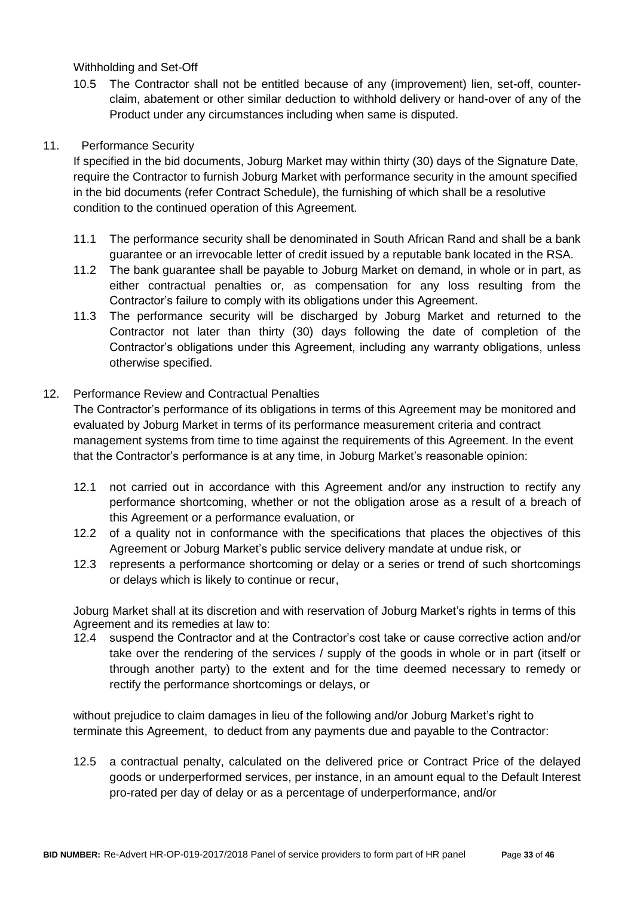Withholding and Set-Off

10.5 The Contractor shall not be entitled because of any (improvement) lien, set-off, counterclaim, abatement or other similar deduction to withhold delivery or hand-over of any of the Product under any circumstances including when same is disputed.

### 11. Performance Security

If specified in the bid documents, Joburg Market may within thirty (30) days of the Signature Date, require the Contractor to furnish Joburg Market with performance security in the amount specified in the bid documents (refer Contract Schedule), the furnishing of which shall be a resolutive condition to the continued operation of this Agreement.

- 11.1 The performance security shall be denominated in South African Rand and shall be a bank guarantee or an irrevocable letter of credit issued by a reputable bank located in the RSA.
- 11.2 The bank guarantee shall be payable to Joburg Market on demand, in whole or in part, as either contractual penalties or, as compensation for any loss resulting from the Contractor's failure to comply with its obligations under this Agreement.
- 11.3 The performance security will be discharged by Joburg Market and returned to the Contractor not later than thirty (30) days following the date of completion of the Contractor's obligations under this Agreement, including any warranty obligations, unless otherwise specified.

### 12. Performance Review and Contractual Penalties

The Contractor's performance of its obligations in terms of this Agreement may be monitored and evaluated by Joburg Market in terms of its performance measurement criteria and contract management systems from time to time against the requirements of this Agreement. In the event that the Contractor's performance is at any time, in Joburg Market's reasonable opinion:

- 12.1 not carried out in accordance with this Agreement and/or any instruction to rectify any performance shortcoming, whether or not the obligation arose as a result of a breach of this Agreement or a performance evaluation, or
- 12.2 of a quality not in conformance with the specifications that places the objectives of this Agreement or Joburg Market's public service delivery mandate at undue risk, or
- 12.3 represents a performance shortcoming or delay or a series or trend of such shortcomings or delays which is likely to continue or recur,

Joburg Market shall at its discretion and with reservation of Joburg Market's rights in terms of this Agreement and its remedies at law to:

12.4 suspend the Contractor and at the Contractor's cost take or cause corrective action and/or take over the rendering of the services / supply of the goods in whole or in part (itself or through another party) to the extent and for the time deemed necessary to remedy or rectify the performance shortcomings or delays, or

without prejudice to claim damages in lieu of the following and/or Joburg Market's right to terminate this Agreement, to deduct from any payments due and payable to the Contractor:

12.5 a contractual penalty, calculated on the delivered price or Contract Price of the delayed goods or underperformed services, per instance, in an amount equal to the Default Interest pro-rated per day of delay or as a percentage of underperformance, and/or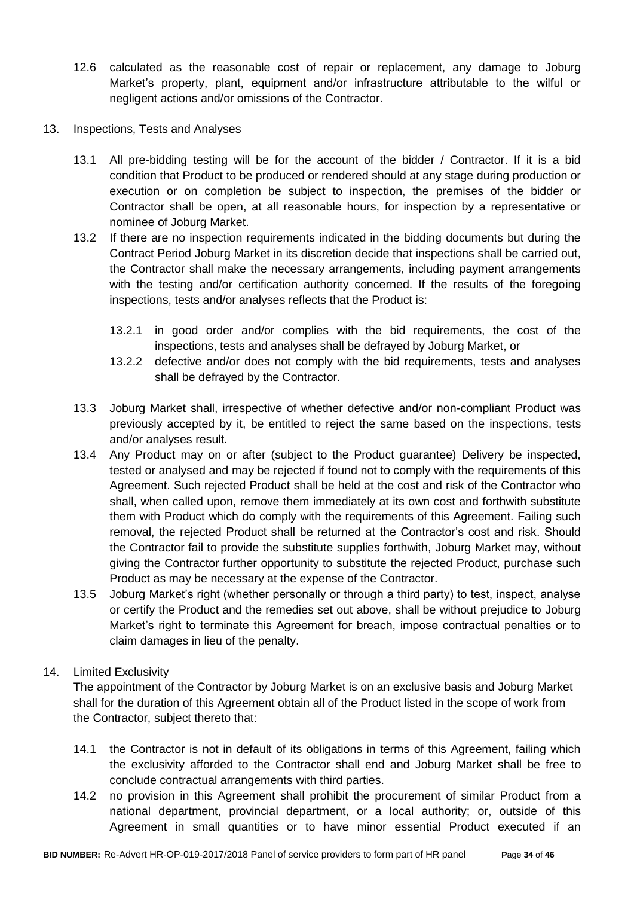- 12.6 calculated as the reasonable cost of repair or replacement, any damage to Joburg Market's property, plant, equipment and/or infrastructure attributable to the wilful or negligent actions and/or omissions of the Contractor.
- 13. Inspections, Tests and Analyses
	- 13.1 All pre-bidding testing will be for the account of the bidder / Contractor. If it is a bid condition that Product to be produced or rendered should at any stage during production or execution or on completion be subject to inspection, the premises of the bidder or Contractor shall be open, at all reasonable hours, for inspection by a representative or nominee of Joburg Market.
	- 13.2 If there are no inspection requirements indicated in the bidding documents but during the Contract Period Joburg Market in its discretion decide that inspections shall be carried out, the Contractor shall make the necessary arrangements, including payment arrangements with the testing and/or certification authority concerned. If the results of the foregoing inspections, tests and/or analyses reflects that the Product is:
		- 13.2.1 in good order and/or complies with the bid requirements, the cost of the inspections, tests and analyses shall be defrayed by Joburg Market, or
		- 13.2.2 defective and/or does not comply with the bid requirements, tests and analyses shall be defrayed by the Contractor.
	- 13.3 Joburg Market shall, irrespective of whether defective and/or non-compliant Product was previously accepted by it, be entitled to reject the same based on the inspections, tests and/or analyses result.
	- 13.4 Any Product may on or after (subject to the Product guarantee) Delivery be inspected, tested or analysed and may be rejected if found not to comply with the requirements of this Agreement. Such rejected Product shall be held at the cost and risk of the Contractor who shall, when called upon, remove them immediately at its own cost and forthwith substitute them with Product which do comply with the requirements of this Agreement. Failing such removal, the rejected Product shall be returned at the Contractor's cost and risk. Should the Contractor fail to provide the substitute supplies forthwith, Joburg Market may, without giving the Contractor further opportunity to substitute the rejected Product, purchase such Product as may be necessary at the expense of the Contractor.
	- 13.5 Joburg Market's right (whether personally or through a third party) to test, inspect, analyse or certify the Product and the remedies set out above, shall be without prejudice to Joburg Market's right to terminate this Agreement for breach, impose contractual penalties or to claim damages in lieu of the penalty.

#### 14. Limited Exclusivity

The appointment of the Contractor by Joburg Market is on an exclusive basis and Joburg Market shall for the duration of this Agreement obtain all of the Product listed in the scope of work from the Contractor, subject thereto that:

- 14.1 the Contractor is not in default of its obligations in terms of this Agreement, failing which the exclusivity afforded to the Contractor shall end and Joburg Market shall be free to conclude contractual arrangements with third parties.
- 14.2 no provision in this Agreement shall prohibit the procurement of similar Product from a national department, provincial department, or a local authority; or, outside of this Agreement in small quantities or to have minor essential Product executed if an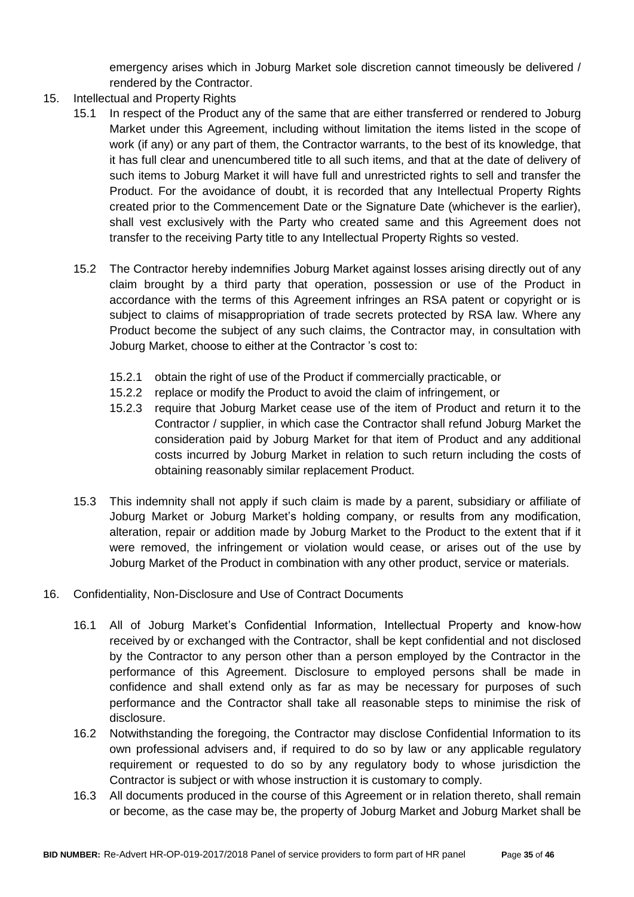emergency arises which in Joburg Market sole discretion cannot timeously be delivered / rendered by the Contractor.

- 15. Intellectual and Property Rights
	- 15.1 In respect of the Product any of the same that are either transferred or rendered to Joburg Market under this Agreement, including without limitation the items listed in the scope of work (if any) or any part of them, the Contractor warrants, to the best of its knowledge, that it has full clear and unencumbered title to all such items, and that at the date of delivery of such items to Joburg Market it will have full and unrestricted rights to sell and transfer the Product. For the avoidance of doubt, it is recorded that any Intellectual Property Rights created prior to the Commencement Date or the Signature Date (whichever is the earlier), shall vest exclusively with the Party who created same and this Agreement does not transfer to the receiving Party title to any Intellectual Property Rights so vested.
	- 15.2 The Contractor hereby indemnifies Joburg Market against losses arising directly out of any claim brought by a third party that operation, possession or use of the Product in accordance with the terms of this Agreement infringes an RSA patent or copyright or is subject to claims of misappropriation of trade secrets protected by RSA law. Where any Product become the subject of any such claims, the Contractor may, in consultation with Joburg Market, choose to either at the Contractor 's cost to:
		- 15.2.1 obtain the right of use of the Product if commercially practicable, or
		- 15.2.2 replace or modify the Product to avoid the claim of infringement, or
		- 15.2.3 require that Joburg Market cease use of the item of Product and return it to the Contractor / supplier, in which case the Contractor shall refund Joburg Market the consideration paid by Joburg Market for that item of Product and any additional costs incurred by Joburg Market in relation to such return including the costs of obtaining reasonably similar replacement Product.
	- 15.3 This indemnity shall not apply if such claim is made by a parent, subsidiary or affiliate of Joburg Market or Joburg Market's holding company, or results from any modification, alteration, repair or addition made by Joburg Market to the Product to the extent that if it were removed, the infringement or violation would cease, or arises out of the use by Joburg Market of the Product in combination with any other product, service or materials.
- 16. Confidentiality, Non-Disclosure and Use of Contract Documents
	- 16.1 All of Joburg Market's Confidential Information, Intellectual Property and know-how received by or exchanged with the Contractor, shall be kept confidential and not disclosed by the Contractor to any person other than a person employed by the Contractor in the performance of this Agreement. Disclosure to employed persons shall be made in confidence and shall extend only as far as may be necessary for purposes of such performance and the Contractor shall take all reasonable steps to minimise the risk of disclosure.
	- 16.2 Notwithstanding the foregoing, the Contractor may disclose Confidential Information to its own professional advisers and, if required to do so by law or any applicable regulatory requirement or requested to do so by any regulatory body to whose jurisdiction the Contractor is subject or with whose instruction it is customary to comply.
	- 16.3 All documents produced in the course of this Agreement or in relation thereto, shall remain or become, as the case may be, the property of Joburg Market and Joburg Market shall be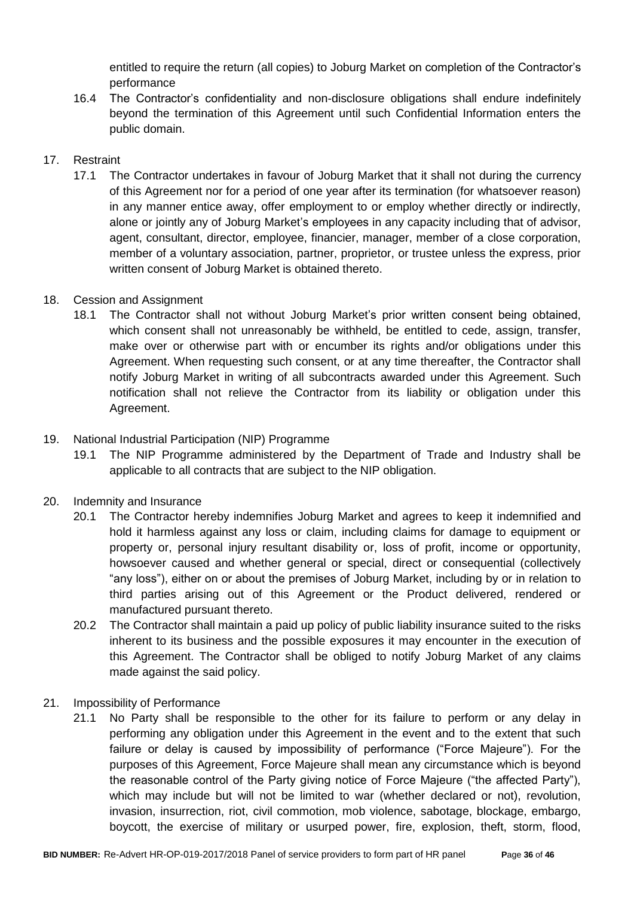entitled to require the return (all copies) to Joburg Market on completion of the Contractor's performance

16.4 The Contractor's confidentiality and non-disclosure obligations shall endure indefinitely beyond the termination of this Agreement until such Confidential Information enters the public domain.

### 17. Restraint

17.1 The Contractor undertakes in favour of Joburg Market that it shall not during the currency of this Agreement nor for a period of one year after its termination (for whatsoever reason) in any manner entice away, offer employment to or employ whether directly or indirectly, alone or jointly any of Joburg Market's employees in any capacity including that of advisor, agent, consultant, director, employee, financier, manager, member of a close corporation, member of a voluntary association, partner, proprietor, or trustee unless the express, prior written consent of Joburg Market is obtained thereto.

### 18. Cession and Assignment

18.1 The Contractor shall not without Joburg Market's prior written consent being obtained, which consent shall not unreasonably be withheld, be entitled to cede, assign, transfer, make over or otherwise part with or encumber its rights and/or obligations under this Agreement. When requesting such consent, or at any time thereafter, the Contractor shall notify Joburg Market in writing of all subcontracts awarded under this Agreement. Such notification shall not relieve the Contractor from its liability or obligation under this Agreement.

### 19. National Industrial Participation (NIP) Programme

19.1 The NIP Programme administered by the Department of Trade and Industry shall be applicable to all contracts that are subject to the NIP obligation.

### 20. Indemnity and Insurance

- 20.1 The Contractor hereby indemnifies Joburg Market and agrees to keep it indemnified and hold it harmless against any loss or claim, including claims for damage to equipment or property or, personal injury resultant disability or, loss of profit, income or opportunity, howsoever caused and whether general or special, direct or consequential (collectively "any loss"), either on or about the premises of Joburg Market, including by or in relation to third parties arising out of this Agreement or the Product delivered, rendered or manufactured pursuant thereto.
- 20.2 The Contractor shall maintain a paid up policy of public liability insurance suited to the risks inherent to its business and the possible exposures it may encounter in the execution of this Agreement. The Contractor shall be obliged to notify Joburg Market of any claims made against the said policy.
- 21. Impossibility of Performance
	- 21.1 No Party shall be responsible to the other for its failure to perform or any delay in performing any obligation under this Agreement in the event and to the extent that such failure or delay is caused by impossibility of performance ("Force Majeure"). For the purposes of this Agreement, Force Majeure shall mean any circumstance which is beyond the reasonable control of the Party giving notice of Force Majeure ("the affected Party"), which may include but will not be limited to war (whether declared or not), revolution, invasion, insurrection, riot, civil commotion, mob violence, sabotage, blockage, embargo, boycott, the exercise of military or usurped power, fire, explosion, theft, storm, flood,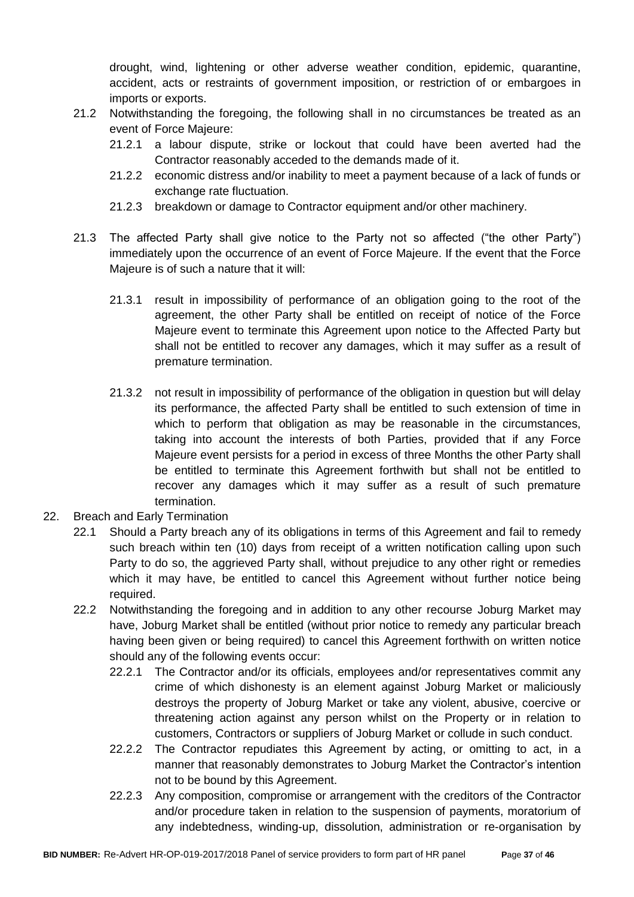drought, wind, lightening or other adverse weather condition, epidemic, quarantine, accident, acts or restraints of government imposition, or restriction of or embargoes in imports or exports.

- 21.2 Notwithstanding the foregoing, the following shall in no circumstances be treated as an event of Force Majeure:
	- 21.2.1 a labour dispute, strike or lockout that could have been averted had the Contractor reasonably acceded to the demands made of it.
	- 21.2.2 economic distress and/or inability to meet a payment because of a lack of funds or exchange rate fluctuation.
	- 21.2.3 breakdown or damage to Contractor equipment and/or other machinery.
- 21.3 The affected Party shall give notice to the Party not so affected ("the other Party") immediately upon the occurrence of an event of Force Majeure. If the event that the Force Majeure is of such a nature that it will:
	- 21.3.1 result in impossibility of performance of an obligation going to the root of the agreement, the other Party shall be entitled on receipt of notice of the Force Majeure event to terminate this Agreement upon notice to the Affected Party but shall not be entitled to recover any damages, which it may suffer as a result of premature termination.
	- 21.3.2 not result in impossibility of performance of the obligation in question but will delay its performance, the affected Party shall be entitled to such extension of time in which to perform that obligation as may be reasonable in the circumstances, taking into account the interests of both Parties, provided that if any Force Majeure event persists for a period in excess of three Months the other Party shall be entitled to terminate this Agreement forthwith but shall not be entitled to recover any damages which it may suffer as a result of such premature termination.
- 22. Breach and Early Termination
	- 22.1 Should a Party breach any of its obligations in terms of this Agreement and fail to remedy such breach within ten (10) days from receipt of a written notification calling upon such Party to do so, the aggrieved Party shall, without prejudice to any other right or remedies which it may have, be entitled to cancel this Agreement without further notice being required.
	- 22.2 Notwithstanding the foregoing and in addition to any other recourse Joburg Market may have, Joburg Market shall be entitled (without prior notice to remedy any particular breach having been given or being required) to cancel this Agreement forthwith on written notice should any of the following events occur:
		- 22.2.1 The Contractor and/or its officials, employees and/or representatives commit any crime of which dishonesty is an element against Joburg Market or maliciously destroys the property of Joburg Market or take any violent, abusive, coercive or threatening action against any person whilst on the Property or in relation to customers, Contractors or suppliers of Joburg Market or collude in such conduct.
		- 22.2.2 The Contractor repudiates this Agreement by acting, or omitting to act, in a manner that reasonably demonstrates to Joburg Market the Contractor's intention not to be bound by this Agreement.
		- 22.2.3 Any composition, compromise or arrangement with the creditors of the Contractor and/or procedure taken in relation to the suspension of payments, moratorium of any indebtedness, winding-up, dissolution, administration or re-organisation by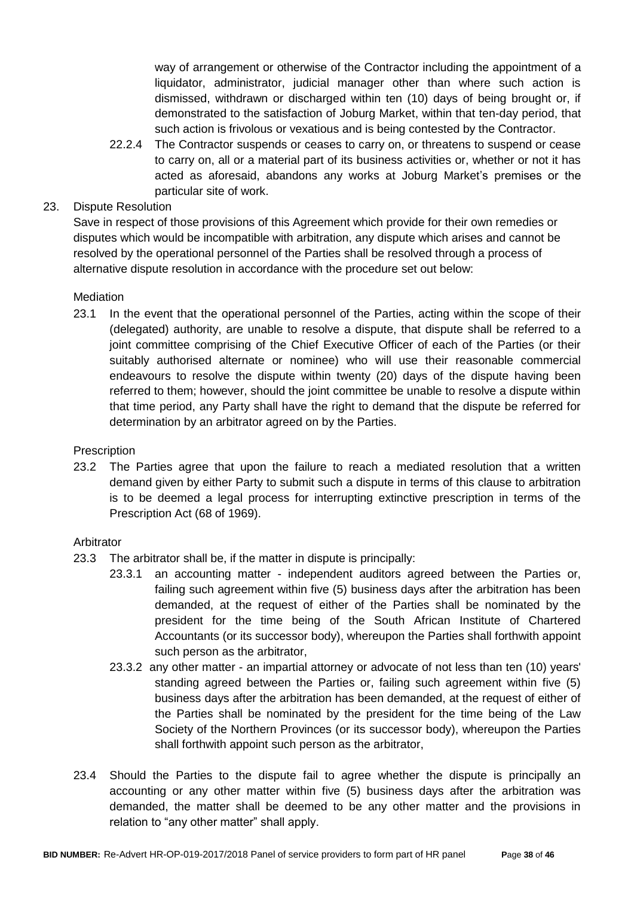way of arrangement or otherwise of the Contractor including the appointment of a liquidator, administrator, judicial manager other than where such action is dismissed, withdrawn or discharged within ten (10) days of being brought or, if demonstrated to the satisfaction of Joburg Market, within that ten-day period, that such action is frivolous or vexatious and is being contested by the Contractor.

22.2.4 The Contractor suspends or ceases to carry on, or threatens to suspend or cease to carry on, all or a material part of its business activities or, whether or not it has acted as aforesaid, abandons any works at Joburg Market's premises or the particular site of work.

### 23. Dispute Resolution

Save in respect of those provisions of this Agreement which provide for their own remedies or disputes which would be incompatible with arbitration, any dispute which arises and cannot be resolved by the operational personnel of the Parties shall be resolved through a process of alternative dispute resolution in accordance with the procedure set out below:

#### **Mediation**

23.1 In the event that the operational personnel of the Parties, acting within the scope of their (delegated) authority, are unable to resolve a dispute, that dispute shall be referred to a joint committee comprising of the Chief Executive Officer of each of the Parties (or their suitably authorised alternate or nominee) who will use their reasonable commercial endeavours to resolve the dispute within twenty (20) days of the dispute having been referred to them; however, should the joint committee be unable to resolve a dispute within that time period, any Party shall have the right to demand that the dispute be referred for determination by an arbitrator agreed on by the Parties.

#### **Prescription**

23.2 The Parties agree that upon the failure to reach a mediated resolution that a written demand given by either Party to submit such a dispute in terms of this clause to arbitration is to be deemed a legal process for interrupting extinctive prescription in terms of the Prescription Act (68 of 1969).

#### Arbitrator

- 23.3 The arbitrator shall be, if the matter in dispute is principally:
	- 23.3.1 an accounting matter independent auditors agreed between the Parties or, failing such agreement within five (5) business days after the arbitration has been demanded, at the request of either of the Parties shall be nominated by the president for the time being of the South African Institute of Chartered Accountants (or its successor body), whereupon the Parties shall forthwith appoint such person as the arbitrator,
	- 23.3.2 any other matter an impartial attorney or advocate of not less than ten (10) years' standing agreed between the Parties or, failing such agreement within five (5) business days after the arbitration has been demanded, at the request of either of the Parties shall be nominated by the president for the time being of the Law Society of the Northern Provinces (or its successor body), whereupon the Parties shall forthwith appoint such person as the arbitrator,
- 23.4 Should the Parties to the dispute fail to agree whether the dispute is principally an accounting or any other matter within five (5) business days after the arbitration was demanded, the matter shall be deemed to be any other matter and the provisions in relation to "any other matter" shall apply.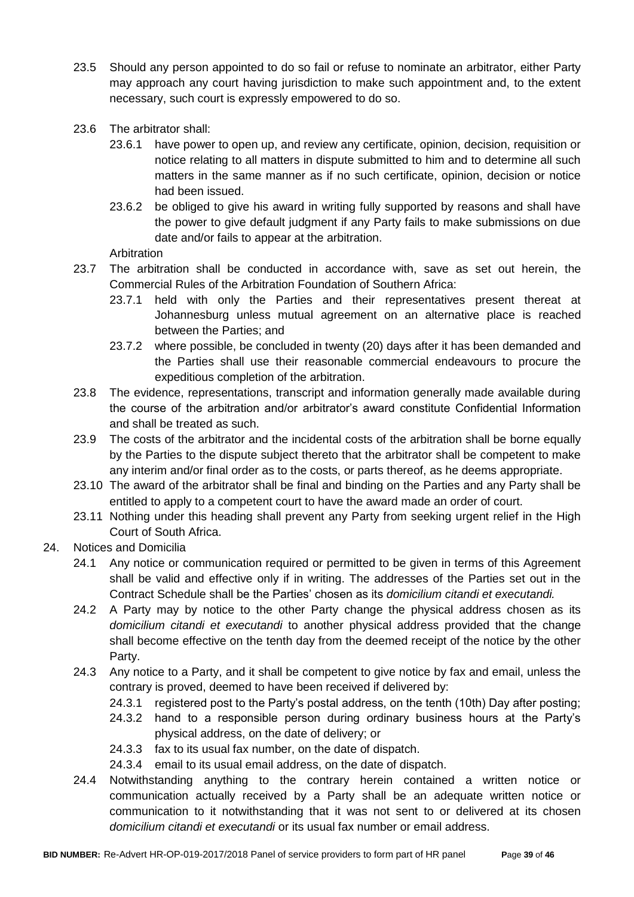- 23.5 Should any person appointed to do so fail or refuse to nominate an arbitrator, either Party may approach any court having jurisdiction to make such appointment and, to the extent necessary, such court is expressly empowered to do so.
- 23.6 The arbitrator shall:
	- 23.6.1 have power to open up, and review any certificate, opinion, decision, requisition or notice relating to all matters in dispute submitted to him and to determine all such matters in the same manner as if no such certificate, opinion, decision or notice had been issued.
	- 23.6.2 be obliged to give his award in writing fully supported by reasons and shall have the power to give default judgment if any Party fails to make submissions on due date and/or fails to appear at the arbitration.

Arbitration

- 23.7 The arbitration shall be conducted in accordance with, save as set out herein, the Commercial Rules of the Arbitration Foundation of Southern Africa:
	- 23.7.1 held with only the Parties and their representatives present thereat at Johannesburg unless mutual agreement on an alternative place is reached between the Parties; and
	- 23.7.2 where possible, be concluded in twenty (20) days after it has been demanded and the Parties shall use their reasonable commercial endeavours to procure the expeditious completion of the arbitration.
- 23.8 The evidence, representations, transcript and information generally made available during the course of the arbitration and/or arbitrator's award constitute Confidential Information and shall be treated as such.
- 23.9 The costs of the arbitrator and the incidental costs of the arbitration shall be borne equally by the Parties to the dispute subject thereto that the arbitrator shall be competent to make any interim and/or final order as to the costs, or parts thereof, as he deems appropriate.
- 23.10 The award of the arbitrator shall be final and binding on the Parties and any Party shall be entitled to apply to a competent court to have the award made an order of court.
- 23.11 Nothing under this heading shall prevent any Party from seeking urgent relief in the High Court of South Africa.
- 24. Notices and Domicilia
	- 24.1 Any notice or communication required or permitted to be given in terms of this Agreement shall be valid and effective only if in writing. The addresses of the Parties set out in the Contract Schedule shall be the Parties' chosen as its *domicilium citandi et executandi.*
	- 24.2 A Party may by notice to the other Party change the physical address chosen as its *domicilium citandi et executandi* to another physical address provided that the change shall become effective on the tenth day from the deemed receipt of the notice by the other Party.
	- 24.3 Any notice to a Party, and it shall be competent to give notice by fax and email, unless the contrary is proved, deemed to have been received if delivered by:
		- 24.3.1 registered post to the Party's postal address, on the tenth (10th) Day after posting;
		- 24.3.2 hand to a responsible person during ordinary business hours at the Party's physical address, on the date of delivery; or
		- 24.3.3 fax to its usual fax number, on the date of dispatch.
		- 24.3.4 email to its usual email address, on the date of dispatch.
	- 24.4 Notwithstanding anything to the contrary herein contained a written notice or communication actually received by a Party shall be an adequate written notice or communication to it notwithstanding that it was not sent to or delivered at its chosen *domicilium citandi et executandi* or its usual fax number or email address.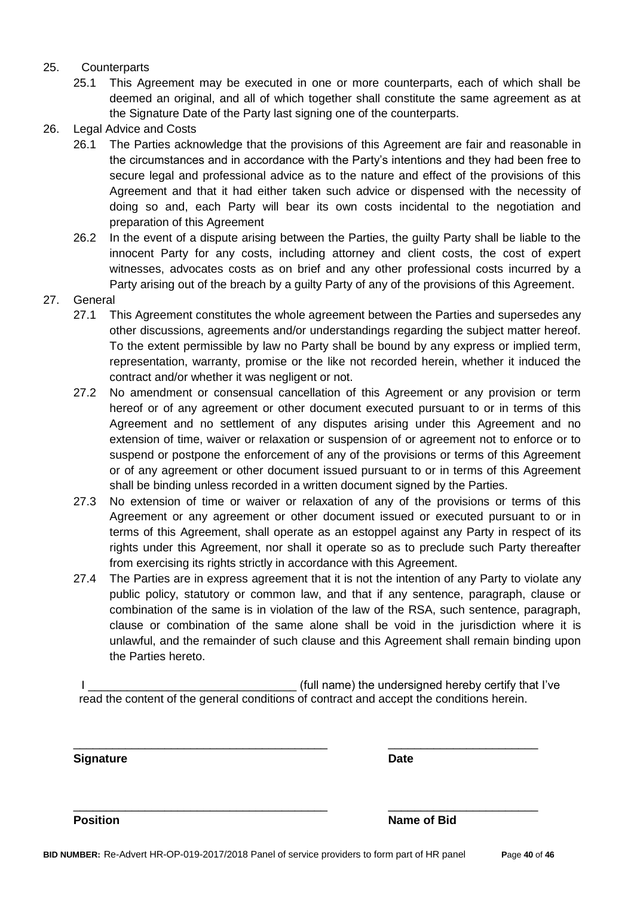#### 25. Counterparts

- 25.1 This Agreement may be executed in one or more counterparts, each of which shall be deemed an original, and all of which together shall constitute the same agreement as at the Signature Date of the Party last signing one of the counterparts.
- 26. Legal Advice and Costs
	- 26.1 The Parties acknowledge that the provisions of this Agreement are fair and reasonable in the circumstances and in accordance with the Party's intentions and they had been free to secure legal and professional advice as to the nature and effect of the provisions of this Agreement and that it had either taken such advice or dispensed with the necessity of doing so and, each Party will bear its own costs incidental to the negotiation and preparation of this Agreement
	- 26.2 In the event of a dispute arising between the Parties, the guilty Party shall be liable to the innocent Party for any costs, including attorney and client costs, the cost of expert witnesses, advocates costs as on brief and any other professional costs incurred by a Party arising out of the breach by a guilty Party of any of the provisions of this Agreement.
- 27. General
	- 27.1 This Agreement constitutes the whole agreement between the Parties and supersedes any other discussions, agreements and/or understandings regarding the subject matter hereof. To the extent permissible by law no Party shall be bound by any express or implied term, representation, warranty, promise or the like not recorded herein, whether it induced the contract and/or whether it was negligent or not.
	- 27.2 No amendment or consensual cancellation of this Agreement or any provision or term hereof or of any agreement or other document executed pursuant to or in terms of this Agreement and no settlement of any disputes arising under this Agreement and no extension of time, waiver or relaxation or suspension of or agreement not to enforce or to suspend or postpone the enforcement of any of the provisions or terms of this Agreement or of any agreement or other document issued pursuant to or in terms of this Agreement shall be binding unless recorded in a written document signed by the Parties.
	- 27.3 No extension of time or waiver or relaxation of any of the provisions or terms of this Agreement or any agreement or other document issued or executed pursuant to or in terms of this Agreement, shall operate as an estoppel against any Party in respect of its rights under this Agreement, nor shall it operate so as to preclude such Party thereafter from exercising its rights strictly in accordance with this Agreement.
	- 27.4 The Parties are in express agreement that it is not the intention of any Party to violate any public policy, statutory or common law, and that if any sentence, paragraph, clause or combination of the same is in violation of the law of the RSA, such sentence, paragraph, clause or combination of the same alone shall be void in the jurisdiction where it is unlawful, and the remainder of such clause and this Agreement shall remain binding upon the Parties hereto.

I Letterman the state of the undersigned hereby certify that I've read the content of the general conditions of contract and accept the conditions herein.

\_\_\_\_\_\_\_\_\_\_\_\_\_\_\_\_\_\_\_\_\_\_\_\_\_\_\_\_\_\_\_\_\_\_\_\_\_\_\_ \_\_\_\_\_\_\_\_\_\_\_\_\_\_\_\_\_\_\_\_\_\_\_

\_\_\_\_\_\_\_\_\_\_\_\_\_\_\_\_\_\_\_\_\_\_\_\_\_\_\_\_\_\_\_\_\_\_\_\_\_\_\_ \_\_\_\_\_\_\_\_\_\_\_\_\_\_\_\_\_\_\_\_\_\_\_

**Signature Date**

**Position Name of Bid**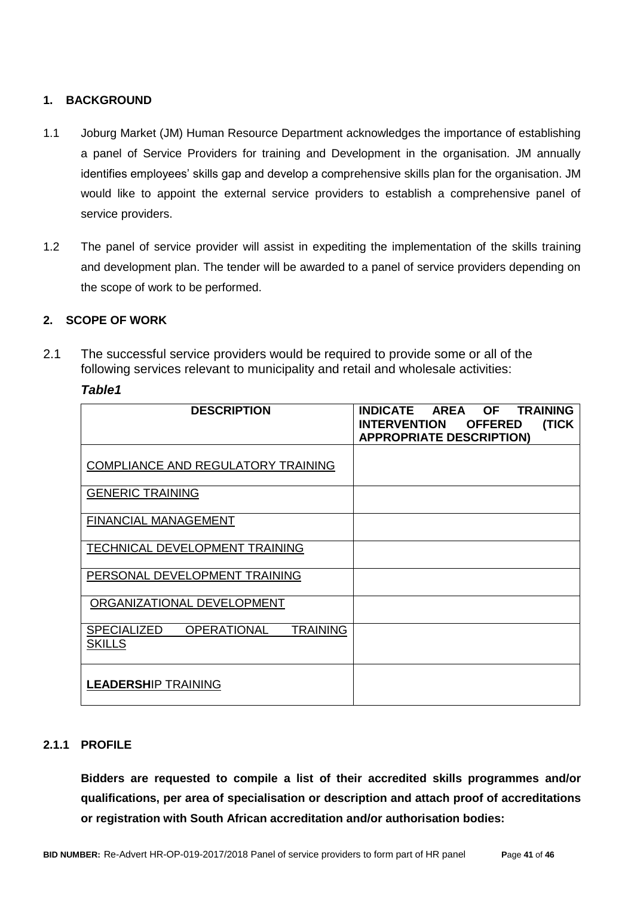### **1. BACKGROUND**

- 1.1 Joburg Market (JM) Human Resource Department acknowledges the importance of establishing a panel of Service Providers for training and Development in the organisation. JM annually identifies employees' skills gap and develop a comprehensive skills plan for the organisation. JM would like to appoint the external service providers to establish a comprehensive panel of service providers.
- 1.2 The panel of service provider will assist in expediting the implementation of the skills training and development plan. The tender will be awarded to a panel of service providers depending on the scope of work to be performed.

### **2. SCOPE OF WORK**

2.1 The successful service providers would be required to provide some or all of the following services relevant to municipality and retail and wholesale activities:

#### *Table1*

| <b>DESCRIPTION</b>                                                    | INDICATE<br><b>AREA</b><br><b>OF</b><br><b>TRAINING</b><br>(TICK<br><b>INTERVENTION</b><br><b>OFFERED</b><br><b>APPROPRIATE DESCRIPTION)</b> |
|-----------------------------------------------------------------------|----------------------------------------------------------------------------------------------------------------------------------------------|
| <b>COMPLIANCE AND REGULATORY TRAINING</b>                             |                                                                                                                                              |
| <b>GENERIC TRAINING</b>                                               |                                                                                                                                              |
| <b>FINANCIAL MANAGEMENT</b>                                           |                                                                                                                                              |
| TECHNICAL DEVELOPMENT TRAINING                                        |                                                                                                                                              |
| PERSONAL DEVELOPMENT TRAINING                                         |                                                                                                                                              |
| ORGANIZATIONAL DEVELOPMENT                                            |                                                                                                                                              |
| <b>SPECIALIZED</b><br><b>OPERATIONAL</b><br>TRAINING<br><b>SKILLS</b> |                                                                                                                                              |
| <b>LEADERSHIP TRAINING</b>                                            |                                                                                                                                              |

#### **2.1.1 PROFILE**

**Bidders are requested to compile a list of their accredited skills programmes and/or qualifications, per area of specialisation or description and attach proof of accreditations or registration with South African accreditation and/or authorisation bodies:**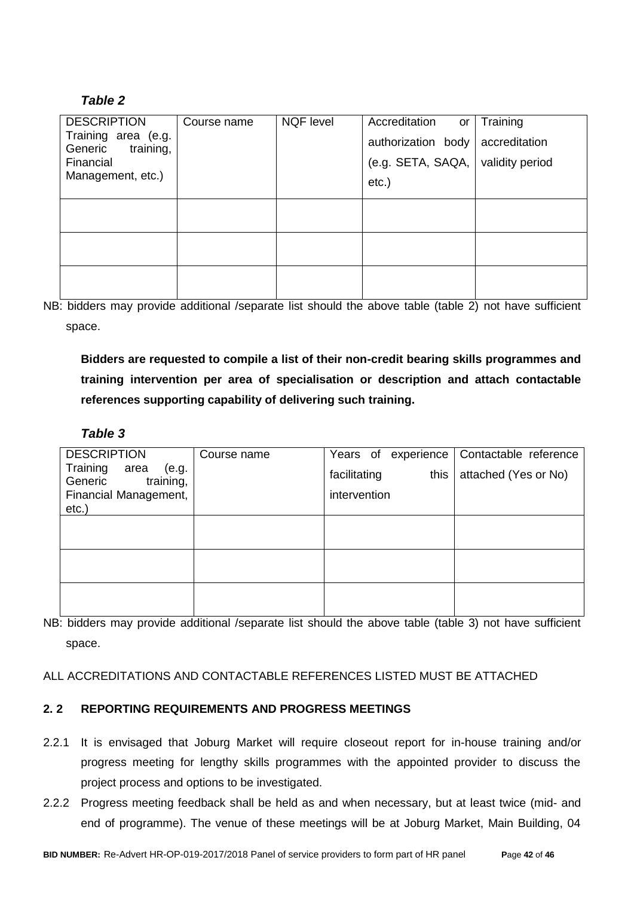## *Table 2*

| <b>DESCRIPTION</b>                          | Course name | <b>NQF level</b> | Accreditation<br>or | Training        |
|---------------------------------------------|-------------|------------------|---------------------|-----------------|
| Training area (e.g.<br>Generic<br>training, |             |                  | authorization body  | accreditation   |
| Financial                                   |             |                  | (e.g. SET A, SAOA,  | validity period |
| Management, etc.)                           |             |                  | $etc.$ )            |                 |
|                                             |             |                  |                     |                 |
|                                             |             |                  |                     |                 |
|                                             |             |                  |                     |                 |
|                                             |             |                  |                     |                 |
|                                             |             |                  |                     |                 |
|                                             |             |                  |                     |                 |

NB: bidders may provide additional /separate list should the above table (table 2) not have sufficient space.

**Bidders are requested to compile a list of their non-credit bearing skills programmes and training intervention per area of specialisation or description and attach contactable references supporting capability of delivering such training.** 

### *Table 3*

| <b>DESCRIPTION</b>                | Course name | Years of experience  | Contactable reference |
|-----------------------------------|-------------|----------------------|-----------------------|
| Training<br>area<br>(e.g.         |             | this<br>facilitating | attached (Yes or No)  |
| training,<br>Generic              |             | intervention         |                       |
| Financial Management,<br>$etc.$ ) |             |                      |                       |
|                                   |             |                      |                       |
|                                   |             |                      |                       |
|                                   |             |                      |                       |
|                                   |             |                      |                       |
|                                   |             |                      |                       |
|                                   |             |                      |                       |
|                                   |             |                      |                       |

NB: bidders may provide additional /separate list should the above table (table 3) not have sufficient space.

ALL ACCREDITATIONS AND CONTACTABLE REFERENCES LISTED MUST BE ATTACHED

### **2. 2 REPORTING REQUIREMENTS AND PROGRESS MEETINGS**

- 2.2.1 It is envisaged that Joburg Market will require closeout report for in-house training and/or progress meeting for lengthy skills programmes with the appointed provider to discuss the project process and options to be investigated.
- 2.2.2 Progress meeting feedback shall be held as and when necessary, but at least twice (mid- and end of programme). The venue of these meetings will be at Joburg Market, Main Building, 04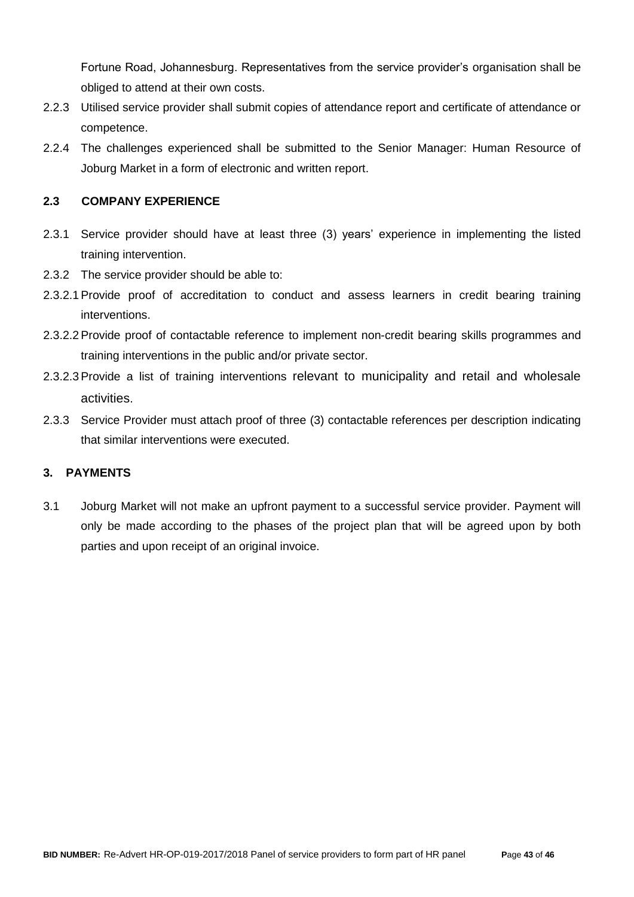Fortune Road, Johannesburg. Representatives from the service provider's organisation shall be obliged to attend at their own costs.

- 2.2.3 Utilised service provider shall submit copies of attendance report and certificate of attendance or competence.
- 2.2.4 The challenges experienced shall be submitted to the Senior Manager: Human Resource of Joburg Market in a form of electronic and written report.

### **2.3 COMPANY EXPERIENCE**

- 2.3.1 Service provider should have at least three (3) years' experience in implementing the listed training intervention.
- 2.3.2 The service provider should be able to:
- 2.3.2.1Provide proof of accreditation to conduct and assess learners in credit bearing training interventions.
- 2.3.2.2Provide proof of contactable reference to implement non-credit bearing skills programmes and training interventions in the public and/or private sector.
- 2.3.2.3Provide a list of training interventions relevant to municipality and retail and wholesale activities.
- 2.3.3 Service Provider must attach proof of three (3) contactable references per description indicating that similar interventions were executed.

### **3. PAYMENTS**

3.1 Joburg Market will not make an upfront payment to a successful service provider. Payment will only be made according to the phases of the project plan that will be agreed upon by both parties and upon receipt of an original invoice.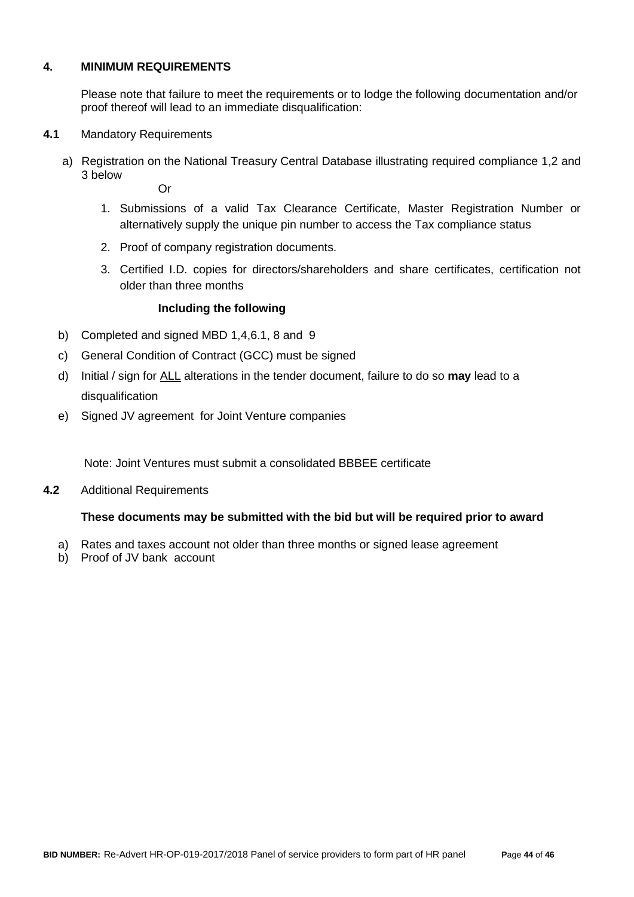#### **4. MINIMUM REQUIREMENTS**

Please note that failure to meet the requirements or to lodge the following documentation and/or proof thereof will lead to an immediate disqualification:

#### **4.1** Mandatory Requirements

a) Registration on the National Treasury Central Database illustrating required compliance 1,2 and 3 below

Or

- 1. Submissions of a valid Tax Clearance Certificate, Master Registration Number or alternatively supply the unique pin number to access the Tax compliance status
- 2. Proof of company registration documents.
- 3. Certified I.D. copies for directors/shareholders and share certificates, certification not older than three months

#### **Including the following**

- b) Completed and signed MBD 1,4,6.1, 8 and 9
- c) General Condition of Contract (GCC) must be signed
- d) Initial / sign for ALL alterations in the tender document, failure to do so **may** lead to a disqualification
- e) Signed JV agreement for Joint Venture companies

Note: Joint Ventures must submit a consolidated BBBEE certificate

**4.2** Additional Requirements

#### **These documents may be submitted with the bid but will be required prior to award**

- a) Rates and taxes account not older than three months or signed lease agreement
- b) Proof of JV bank account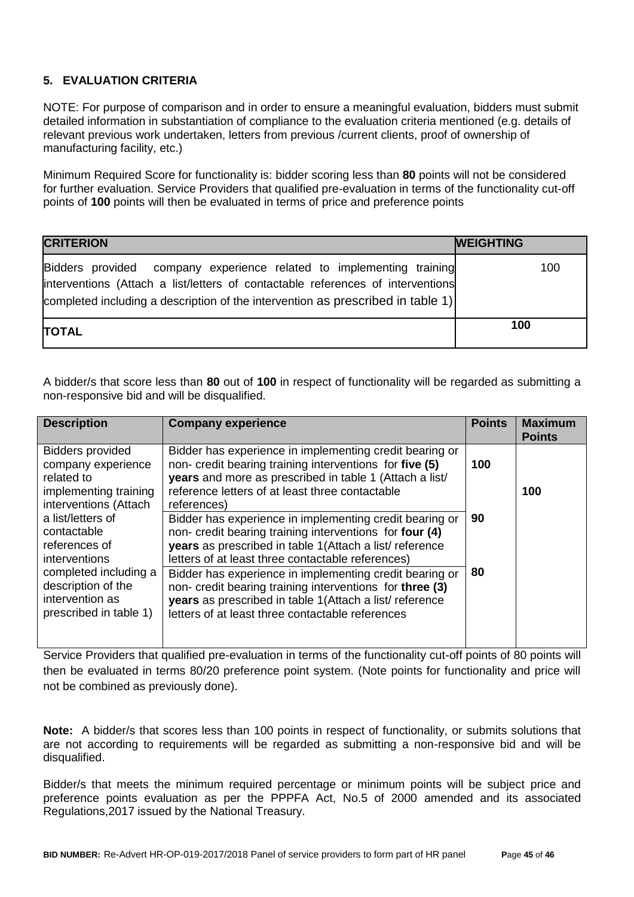### **5. EVALUATION CRITERIA**

NOTE: For purpose of comparison and in order to ensure a meaningful evaluation, bidders must submit detailed information in substantiation of compliance to the evaluation criteria mentioned (e.g. details of relevant previous work undertaken, letters from previous /current clients, proof of ownership of manufacturing facility, etc.)

Minimum Required Score for functionality is: bidder scoring less than **80** points will not be considered for further evaluation. Service Providers that qualified pre-evaluation in terms of the functionality cut-off points of **100** points will then be evaluated in terms of price and preference points

| <b>CRITERION</b>                                                                                                                                                                                                                           | <b>WEIGHTING</b> |
|--------------------------------------------------------------------------------------------------------------------------------------------------------------------------------------------------------------------------------------------|------------------|
| Bidders provided company experience related to implementing training<br>interventions (Attach a list/letters of contactable references of interventions<br>completed including a description of the intervention as prescribed in table 1) | 100              |
| <b>TOTAL</b>                                                                                                                                                                                                                               | 100              |

A bidder/s that score less than **80** out of **100** in respect of functionality will be regarded as submitting a non-responsive bid and will be disqualified.

| <b>Description</b>                                                                                            | <b>Company experience</b>                                                                                                                                                                                                                       | <b>Points</b> | <b>Maximum</b><br><b>Points</b> |
|---------------------------------------------------------------------------------------------------------------|-------------------------------------------------------------------------------------------------------------------------------------------------------------------------------------------------------------------------------------------------|---------------|---------------------------------|
| <b>Bidders provided</b><br>company experience<br>related to<br>implementing training<br>interventions (Attach | Bidder has experience in implementing credit bearing or<br>non- credit bearing training interventions for five (5)<br>years and more as prescribed in table 1 (Attach a list/<br>reference letters of at least three contactable<br>references) | 100           | 100                             |
| a list/letters of<br>contactable<br>references of<br>interventions                                            | Bidder has experience in implementing credit bearing or<br>non- credit bearing training interventions for four (4)<br>years as prescribed in table 1(Attach a list/reference<br>letters of at least three contactable references)               | 90            |                                 |
| completed including a<br>description of the<br>intervention as<br>prescribed in table 1)                      | Bidder has experience in implementing credit bearing or<br>non- credit bearing training interventions for three (3)<br>years as prescribed in table 1(Attach a list/reference<br>letters of at least three contactable references               | 80            |                                 |

Service Providers that qualified pre-evaluation in terms of the functionality cut-off points of 80 points will then be evaluated in terms 80/20 preference point system. (Note points for functionality and price will not be combined as previously done).

**Note:** A bidder/s that scores less than 100 points in respect of functionality, or submits solutions that are not according to requirements will be regarded as submitting a non-responsive bid and will be disqualified.

Bidder/s that meets the minimum required percentage or minimum points will be subject price and preference points evaluation as per the PPPFA Act, No.5 of 2000 amended and its associated Regulations,2017 issued by the National Treasury.